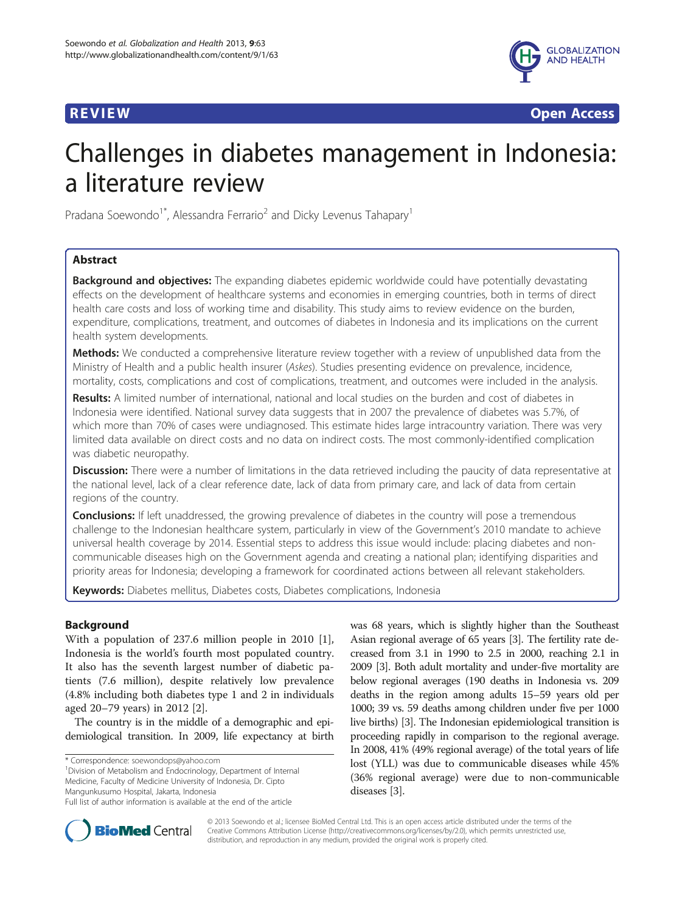

**REVIEW CONSTRUCTION CONSTRUCTION CONSTRUCTS** 

# Challenges in diabetes management in Indonesia: a literature review

Pradana Soewondo<sup>1\*</sup>, Alessandra Ferrario<sup>2</sup> and Dicky Levenus Tahapary<sup>1</sup>

## Abstract

**Background and objectives:** The expanding diabetes epidemic worldwide could have potentially devastating effects on the development of healthcare systems and economies in emerging countries, both in terms of direct health care costs and loss of working time and disability. This study aims to review evidence on the burden, expenditure, complications, treatment, and outcomes of diabetes in Indonesia and its implications on the current health system developments.

Methods: We conducted a comprehensive literature review together with a review of unpublished data from the Ministry of Health and a public health insurer (Askes). Studies presenting evidence on prevalence, incidence, mortality, costs, complications and cost of complications, treatment, and outcomes were included in the analysis.

Results: A limited number of international, national and local studies on the burden and cost of diabetes in Indonesia were identified. National survey data suggests that in 2007 the prevalence of diabetes was 5.7%, of which more than 70% of cases were undiagnosed. This estimate hides large intracountry variation. There was very limited data available on direct costs and no data on indirect costs. The most commonly-identified complication was diabetic neuropathy.

Discussion: There were a number of limitations in the data retrieved including the paucity of data representative at the national level, lack of a clear reference date, lack of data from primary care, and lack of data from certain regions of the country.

**Conclusions:** If left unaddressed, the growing prevalence of diabetes in the country will pose a tremendous challenge to the Indonesian healthcare system, particularly in view of the Government's 2010 mandate to achieve universal health coverage by 2014. Essential steps to address this issue would include: placing diabetes and noncommunicable diseases high on the Government agenda and creating a national plan; identifying disparities and priority areas for Indonesia; developing a framework for coordinated actions between all relevant stakeholders.

Keywords: Diabetes mellitus, Diabetes costs, Diabetes complications, Indonesia

## Background

With a population of 237.6 million people in 2010 [\[1](#page-15-0)], Indonesia is the world's fourth most populated country. It also has the seventh largest number of diabetic patients (7.6 million), despite relatively low prevalence (4.8% including both diabetes type 1 and 2 in individuals aged 20–79 years) in 2012 [\[2](#page-15-0)].

The country is in the middle of a demographic and epidemiological transition. In 2009, life expectancy at birth

\* Correspondence: [soewondops@yahoo.com](mailto:soewondops@yahoo.com) <sup>1</sup>

Division of Metabolism and Endocrinology, Department of Internal Medicine, Faculty of Medicine University of Indonesia, Dr. Cipto Mangunkusumo Hospital, Jakarta, Indonesia

was 68 years, which is slightly higher than the Southeast Asian regional average of 65 years [[3](#page-15-0)]. The fertility rate decreased from 3.1 in 1990 to 2.5 in 2000, reaching 2.1 in 2009 [\[3\]](#page-15-0). Both adult mortality and under-five mortality are below regional averages (190 deaths in Indonesia vs. 209 deaths in the region among adults 15–59 years old per 1000; 39 vs. 59 deaths among children under five per 1000 live births) [\[3\]](#page-15-0). The Indonesian epidemiological transition is proceeding rapidly in comparison to the regional average. In 2008, 41% (49% regional average) of the total years of life lost (YLL) was due to communicable diseases while 45% (36% regional average) were due to non-communicable diseases [\[3\]](#page-15-0).



© 2013 Soewondo et al.; licensee BioMed Central Ltd. This is an open access article distributed under the terms of the Creative Commons Attribution License (<http://creativecommons.org/licenses/by/2.0>), which permits unrestricted use, distribution, and reproduction in any medium, provided the original work is properly cited.

Full list of author information is available at the end of the article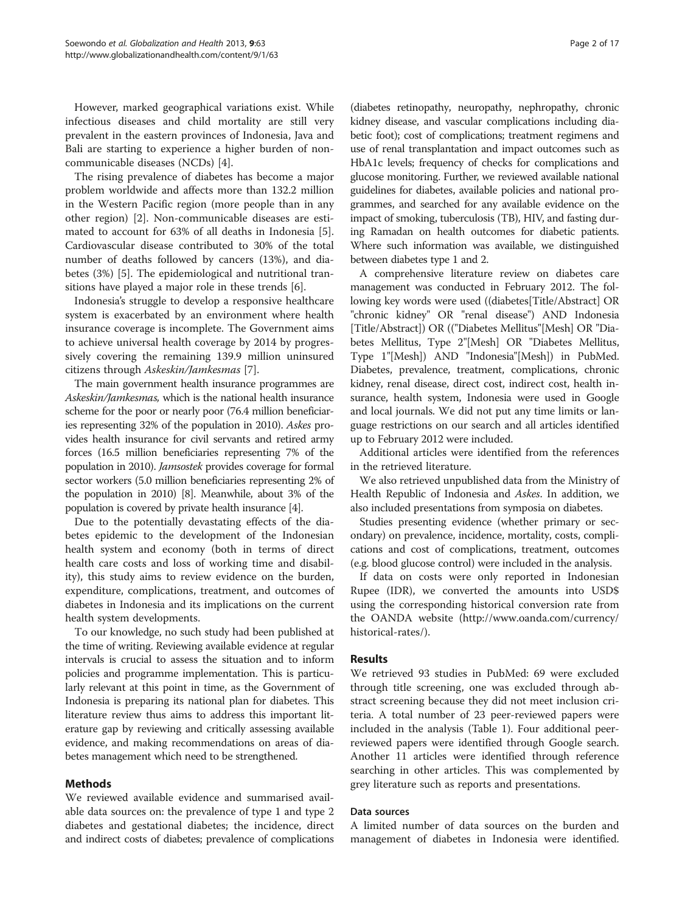However, marked geographical variations exist. While infectious diseases and child mortality are still very prevalent in the eastern provinces of Indonesia, Java and Bali are starting to experience a higher burden of noncommunicable diseases (NCDs) [[4\]](#page-15-0).

The rising prevalence of diabetes has become a major problem worldwide and affects more than 132.2 million in the Western Pacific region (more people than in any other region) [\[2](#page-15-0)]. Non-communicable diseases are estimated to account for 63% of all deaths in Indonesia [\[5](#page-15-0)]. Cardiovascular disease contributed to 30% of the total number of deaths followed by cancers (13%), and diabetes (3%) [\[5](#page-15-0)]. The epidemiological and nutritional transitions have played a major role in these trends [\[6\]](#page-15-0).

Indonesia's struggle to develop a responsive healthcare system is exacerbated by an environment where health insurance coverage is incomplete. The Government aims to achieve universal health coverage by 2014 by progressively covering the remaining 139.9 million uninsured citizens through Askeskin/Jamkesmas [\[7](#page-15-0)].

The main government health insurance programmes are Askeskin/Jamkesmas, which is the national health insurance scheme for the poor or nearly poor (76.4 million beneficiaries representing 32% of the population in 2010). Askes provides health insurance for civil servants and retired army forces (16.5 million beneficiaries representing 7% of the population in 2010). Jamsostek provides coverage for formal sector workers (5.0 million beneficiaries representing 2% of the population in 2010) [[8](#page-15-0)]. Meanwhile, about 3% of the population is covered by private health insurance [\[4\]](#page-15-0).

Due to the potentially devastating effects of the diabetes epidemic to the development of the Indonesian health system and economy (both in terms of direct health care costs and loss of working time and disability), this study aims to review evidence on the burden, expenditure, complications, treatment, and outcomes of diabetes in Indonesia and its implications on the current health system developments.

To our knowledge, no such study had been published at the time of writing. Reviewing available evidence at regular intervals is crucial to assess the situation and to inform policies and programme implementation. This is particularly relevant at this point in time, as the Government of Indonesia is preparing its national plan for diabetes. This literature review thus aims to address this important literature gap by reviewing and critically assessing available evidence, and making recommendations on areas of diabetes management which need to be strengthened.

## Methods

We reviewed available evidence and summarised available data sources on: the prevalence of type 1 and type 2 diabetes and gestational diabetes; the incidence, direct and indirect costs of diabetes; prevalence of complications

(diabetes retinopathy, neuropathy, nephropathy, chronic kidney disease, and vascular complications including diabetic foot); cost of complications; treatment regimens and use of renal transplantation and impact outcomes such as HbA1c levels; frequency of checks for complications and glucose monitoring. Further, we reviewed available national guidelines for diabetes, available policies and national programmes, and searched for any available evidence on the impact of smoking, tuberculosis (TB), HIV, and fasting during Ramadan on health outcomes for diabetic patients. Where such information was available, we distinguished between diabetes type 1 and 2.

A comprehensive literature review on diabetes care management was conducted in February 2012. The following key words were used ((diabetes[Title/Abstract] OR "chronic kidney" OR "renal disease") AND Indonesia [Title/Abstract]) OR (("Diabetes Mellitus"[Mesh] OR "Diabetes Mellitus, Type 2"[Mesh] OR "Diabetes Mellitus, Type 1"[Mesh]) AND "Indonesia"[Mesh]) in PubMed. Diabetes, prevalence, treatment, complications, chronic kidney, renal disease, direct cost, indirect cost, health insurance, health system, Indonesia were used in Google and local journals. We did not put any time limits or language restrictions on our search and all articles identified up to February 2012 were included.

Additional articles were identified from the references in the retrieved literature.

We also retrieved unpublished data from the Ministry of Health Republic of Indonesia and Askes. In addition, we also included presentations from symposia on diabetes.

Studies presenting evidence (whether primary or secondary) on prevalence, incidence, mortality, costs, complications and cost of complications, treatment, outcomes (e.g. blood glucose control) were included in the analysis.

If data on costs were only reported in Indonesian Rupee (IDR), we converted the amounts into USD\$ using the corresponding historical conversion rate from the OANDA website [\(http://www.oanda.com/currency/](http://www.oanda.com/currency/historical-rates/) [historical-rates/\)](http://www.oanda.com/currency/historical-rates/).

## Results

We retrieved 93 studies in PubMed: 69 were excluded through title screening, one was excluded through abstract screening because they did not meet inclusion criteria. A total number of 23 peer-reviewed papers were included in the analysis (Table [1](#page-2-0)). Four additional peerreviewed papers were identified through Google search. Another 11 articles were identified through reference searching in other articles. This was complemented by grey literature such as reports and presentations.

### Data sources

A limited number of data sources on the burden and management of diabetes in Indonesia were identified.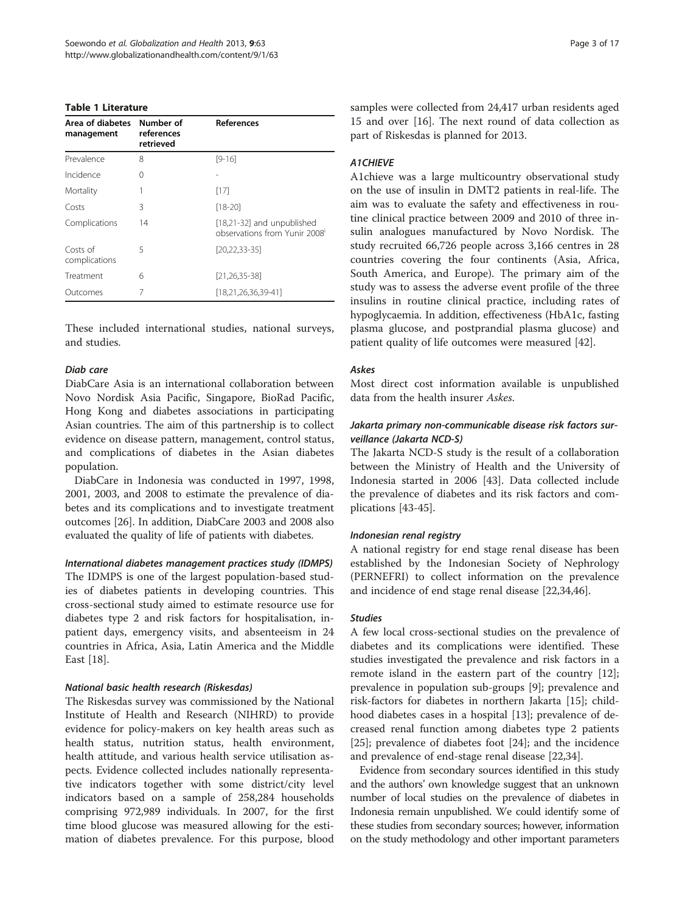#### <span id="page-2-0"></span>Table 1 Literature

| Area of diabetes<br>management | Number of<br>references<br>retrieved | <b>References</b>                                          |
|--------------------------------|--------------------------------------|------------------------------------------------------------|
| Prevalence                     | 8                                    | $[9 - 16]$                                                 |
| Incidence                      | ∩                                    |                                                            |
| Mortality                      |                                      | $[17]$                                                     |
| Costs                          | 3                                    | $[18 - 20]$                                                |
| Complications                  | 14                                   | [18,21-32] and unpublished<br>observations from Yunir 2008 |
| Costs of<br>complications      | 5                                    | [20.22.33-35]                                              |
| Treatment                      | 6                                    | $[21, 26, 35 - 38]$                                        |
| Outcomes                       | 7                                    | $[18,21,26,36,39-41]$                                      |

These included international studies, national surveys, and studies.

## Diab care

DiabCare Asia is an international collaboration between Novo Nordisk Asia Pacific, Singapore, BioRad Pacific, Hong Kong and diabetes associations in participating Asian countries. The aim of this partnership is to collect evidence on disease pattern, management, control status, and complications of diabetes in the Asian diabetes population.

DiabCare in Indonesia was conducted in 1997, 1998, 2001, 2003, and 2008 to estimate the prevalence of diabetes and its complications and to investigate treatment outcomes [\[26\]](#page-15-0). In addition, DiabCare 2003 and 2008 also evaluated the quality of life of patients with diabetes.

#### International diabetes management practices study (IDMPS)

The IDMPS is one of the largest population-based studies of diabetes patients in developing countries. This cross-sectional study aimed to estimate resource use for diabetes type 2 and risk factors for hospitalisation, inpatient days, emergency visits, and absenteeism in 24 countries in Africa, Asia, Latin America and the Middle East [[18\]](#page-15-0).

## National basic health research (Riskesdas)

The Riskesdas survey was commissioned by the National Institute of Health and Research (NIHRD) to provide evidence for policy-makers on key health areas such as health status, nutrition status, health environment, health attitude, and various health service utilisation aspects. Evidence collected includes nationally representative indicators together with some district/city level indicators based on a sample of 258,284 households comprising 972,989 individuals. In 2007, for the first time blood glucose was measured allowing for the estimation of diabetes prevalence. For this purpose, blood samples were collected from 24,417 urban residents aged 15 and over [[16\]](#page-15-0). The next round of data collection as part of Riskesdas is planned for 2013.

## A1CHIEVE

A1chieve was a large multicountry observational study on the use of insulin in DMT2 patients in real-life. The aim was to evaluate the safety and effectiveness in routine clinical practice between 2009 and 2010 of three insulin analogues manufactured by Novo Nordisk. The study recruited 66,726 people across 3,166 centres in 28 countries covering the four continents (Asia, Africa, South America, and Europe). The primary aim of the study was to assess the adverse event profile of the three insulins in routine clinical practice, including rates of hypoglycaemia. In addition, effectiveness (HbA1c, fasting plasma glucose, and postprandial plasma glucose) and patient quality of life outcomes were measured [\[42\]](#page-16-0).

## Askes

Most direct cost information available is unpublished data from the health insurer Askes.

## Jakarta primary non-communicable disease risk factors surveillance (Jakarta NCD-S)

The Jakarta NCD-S study is the result of a collaboration between the Ministry of Health and the University of Indonesia started in 2006 [\[43\]](#page-16-0). Data collected include the prevalence of diabetes and its risk factors and complications [\[43-45](#page-16-0)].

### Indonesian renal registry

A national registry for end stage renal disease has been established by the Indonesian Society of Nephrology (PERNEFRI) to collect information on the prevalence and incidence of end stage renal disease [[22,34,](#page-15-0)[46\]](#page-16-0).

#### Studies

A few local cross-sectional studies on the prevalence of diabetes and its complications were identified. These studies investigated the prevalence and risk factors in a remote island in the eastern part of the country [\[12](#page-15-0)]; prevalence in population sub-groups [[9\]](#page-15-0); prevalence and risk-factors for diabetes in northern Jakarta [[15](#page-15-0)]; childhood diabetes cases in a hospital [\[13\]](#page-15-0); prevalence of decreased renal function among diabetes type 2 patients [[25\]](#page-15-0); prevalence of diabetes foot [[24](#page-15-0)]; and the incidence and prevalence of end-stage renal disease [\[22,34\]](#page-15-0).

Evidence from secondary sources identified in this study and the authors' own knowledge suggest that an unknown number of local studies on the prevalence of diabetes in Indonesia remain unpublished. We could identify some of these studies from secondary sources; however, information on the study methodology and other important parameters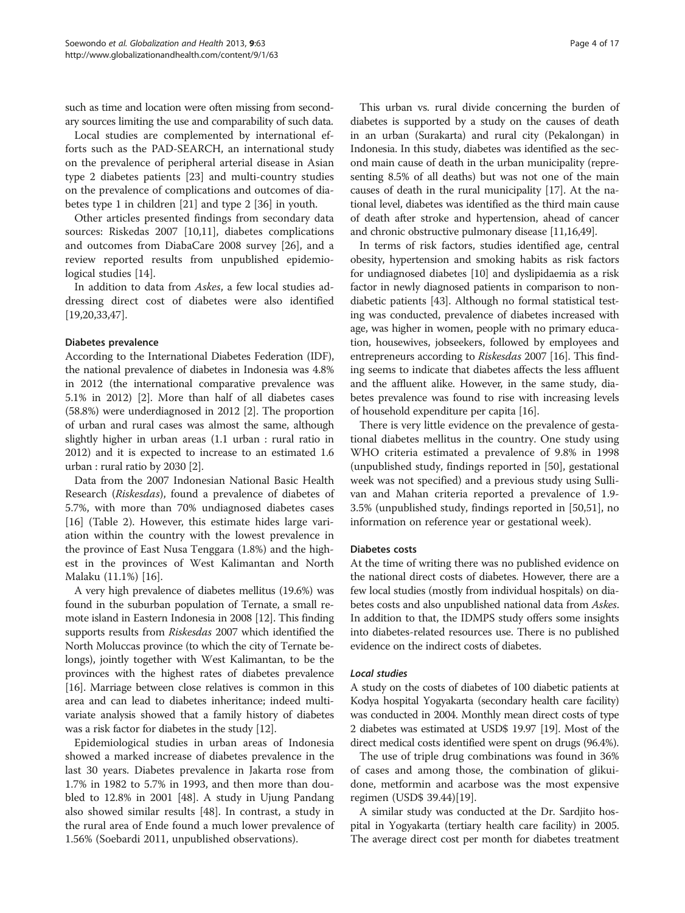such as time and location were often missing from secondary sources limiting the use and comparability of such data.

Local studies are complemented by international efforts such as the PAD-SEARCH, an international study on the prevalence of peripheral arterial disease in Asian type 2 diabetes patients [\[23](#page-15-0)] and multi-country studies on the prevalence of complications and outcomes of diabetes type 1 in children [\[21\]](#page-15-0) and type 2 [\[36\]](#page-15-0) in youth.

Other articles presented findings from secondary data sources: Riskedas 2007 [\[10,11\]](#page-15-0), diabetes complications and outcomes from DiabaCare 2008 survey [[26\]](#page-15-0), and a review reported results from unpublished epidemiological studies [\[14](#page-15-0)].

In addition to data from Askes, a few local studies addressing direct cost of diabetes were also identified [[19,20,33,](#page-15-0)[47\]](#page-16-0).

### Diabetes prevalence

According to the International Diabetes Federation (IDF), the national prevalence of diabetes in Indonesia was 4.8% in 2012 (the international comparative prevalence was 5.1% in 2012) [[2\]](#page-15-0). More than half of all diabetes cases (58.8%) were underdiagnosed in 2012 [[2\]](#page-15-0). The proportion of urban and rural cases was almost the same, although slightly higher in urban areas (1.1 urban : rural ratio in 2012) and it is expected to increase to an estimated 1.6 urban : rural ratio by 2030 [\[2](#page-15-0)].

Data from the 2007 Indonesian National Basic Health Research (Riskesdas), found a prevalence of diabetes of 5.7%, with more than 70% undiagnosed diabetes cases [[16\]](#page-15-0) (Table [2\)](#page-4-0). However, this estimate hides large variation within the country with the lowest prevalence in the province of East Nusa Tenggara (1.8%) and the highest in the provinces of West Kalimantan and North Malaku (11.1%) [\[16](#page-15-0)].

A very high prevalence of diabetes mellitus (19.6%) was found in the suburban population of Ternate, a small remote island in Eastern Indonesia in 2008 [[12](#page-15-0)]. This finding supports results from Riskesdas 2007 which identified the North Moluccas province (to which the city of Ternate belongs), jointly together with West Kalimantan, to be the provinces with the highest rates of diabetes prevalence [[16](#page-15-0)]. Marriage between close relatives is common in this area and can lead to diabetes inheritance; indeed multivariate analysis showed that a family history of diabetes was a risk factor for diabetes in the study [[12](#page-15-0)].

Epidemiological studies in urban areas of Indonesia showed a marked increase of diabetes prevalence in the last 30 years. Diabetes prevalence in Jakarta rose from 1.7% in 1982 to 5.7% in 1993, and then more than doubled to 12.8% in 2001 [[48](#page-16-0)]. A study in Ujung Pandang also showed similar results [[48\]](#page-16-0). In contrast, a study in the rural area of Ende found a much lower prevalence of 1.56% (Soebardi 2011, unpublished observations).

This urban vs. rural divide concerning the burden of diabetes is supported by a study on the causes of death in an urban (Surakarta) and rural city (Pekalongan) in Indonesia. In this study, diabetes was identified as the second main cause of death in the urban municipality (representing 8.5% of all deaths) but was not one of the main causes of death in the rural municipality [\[17\]](#page-15-0). At the national level, diabetes was identified as the third main cause of death after stroke and hypertension, ahead of cancer and chronic obstructive pulmonary disease [\[11,16,](#page-15-0)[49](#page-16-0)].

In terms of risk factors, studies identified age, central obesity, hypertension and smoking habits as risk factors for undiagnosed diabetes [\[10](#page-15-0)] and dyslipidaemia as a risk factor in newly diagnosed patients in comparison to nondiabetic patients [\[43\]](#page-16-0). Although no formal statistical testing was conducted, prevalence of diabetes increased with age, was higher in women, people with no primary education, housewives, jobseekers, followed by employees and entrepreneurs according to Riskesdas 2007 [\[16\]](#page-15-0). This finding seems to indicate that diabetes affects the less affluent and the affluent alike. However, in the same study, diabetes prevalence was found to rise with increasing levels of household expenditure per capita [\[16\]](#page-15-0).

There is very little evidence on the prevalence of gestational diabetes mellitus in the country. One study using WHO criteria estimated a prevalence of 9.8% in 1998 (unpublished study, findings reported in [[50](#page-16-0)], gestational week was not specified) and a previous study using Sullivan and Mahan criteria reported a prevalence of 1.9- 3.5% (unpublished study, findings reported in [[50,51\]](#page-16-0), no information on reference year or gestational week).

## Diabetes costs

At the time of writing there was no published evidence on the national direct costs of diabetes. However, there are a few local studies (mostly from individual hospitals) on diabetes costs and also unpublished national data from Askes. In addition to that, the IDMPS study offers some insights into diabetes-related resources use. There is no published evidence on the indirect costs of diabetes.

### Local studies

A study on the costs of diabetes of 100 diabetic patients at Kodya hospital Yogyakarta (secondary health care facility) was conducted in 2004. Monthly mean direct costs of type 2 diabetes was estimated at USD\$ 19.97 [\[19](#page-15-0)]. Most of the direct medical costs identified were spent on drugs (96.4%).

The use of triple drug combinations was found in 36% of cases and among those, the combination of glikuidone, metformin and acarbose was the most expensive regimen (USD\$ 39.44)[\[19](#page-15-0)].

A similar study was conducted at the Dr. Sardjito hospital in Yogyakarta (tertiary health care facility) in 2005. The average direct cost per month for diabetes treatment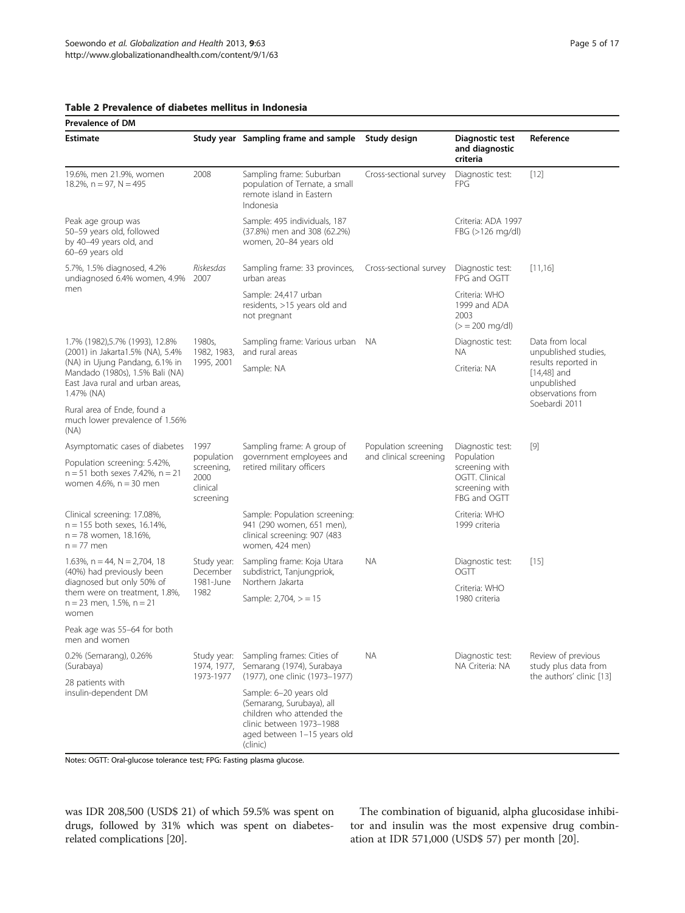| Prevalence of DM                                                                                                         |                                             |                                                                                                                                                                                           |                        |                                                                                  |                                                                          |
|--------------------------------------------------------------------------------------------------------------------------|---------------------------------------------|-------------------------------------------------------------------------------------------------------------------------------------------------------------------------------------------|------------------------|----------------------------------------------------------------------------------|--------------------------------------------------------------------------|
| Estimate                                                                                                                 |                                             | Study year Sampling frame and sample Study design                                                                                                                                         |                        | Diagnostic test<br>and diagnostic<br>criteria                                    | Reference                                                                |
| 19.6%, men 21.9%, women<br>18.2%, $n = 97$ , $N = 495$                                                                   | 2008                                        | Sampling frame: Suburban<br>population of Ternate, a small<br>remote island in Eastern<br>Indonesia                                                                                       | Cross-sectional survey | Diagnostic test:<br>FPG                                                          | $[12]$                                                                   |
| Peak age group was<br>50-59 years old, followed<br>by 40-49 years old, and<br>60-69 years old                            |                                             | Sample: 495 individuals, 187<br>(37.8%) men and 308 (62.2%)<br>women, 20-84 years old                                                                                                     |                        | Criteria: ADA 1997<br>FBG (>126 mg/dl)                                           |                                                                          |
| 5.7%, 1.5% diagnosed, 4.2%<br>undiagnosed 6.4% women, 4.9%                                                               | Riskesdas<br>2007                           | Sampling frame: 33 provinces,<br>urban areas                                                                                                                                              | Cross-sectional survey | Diagnostic test:<br>FPG and OGTT                                                 | [11,16]                                                                  |
| men                                                                                                                      |                                             | Sample: 24,417 urban<br>residents, >15 years old and<br>not pregnant                                                                                                                      |                        | Criteria: WHO<br>1999 and ADA<br>2003<br>$(>= 200$ mg/dl)                        |                                                                          |
| 1.7% (1982),5.7% (1993), 12.8%<br>(2001) in Jakarta1.5% (NA), 5.4%                                                       | 1980s,<br>1982, 1983,                       | Sampling frame: Various urban NA<br>and rural areas                                                                                                                                       |                        | Diagnostic test:<br>NA.                                                          | Data from local<br>unpublished studies,                                  |
| (NA) in Ujung Pandang, 6.1% in<br>Mandado (1980s), 1.5% Bali (NA)<br>East Java rural and urban areas,<br>1.47% (NA)      | 1995, 2001                                  | Sample: NA                                                                                                                                                                                |                        | Criteria: NA                                                                     | results reported in<br>$[14,48]$ and<br>unpublished<br>observations from |
| Rural area of Ende, found a<br>much lower prevalence of 1.56%<br>(NA)                                                    |                                             |                                                                                                                                                                                           |                        |                                                                                  | Soebardi 2011                                                            |
| Asymptomatic cases of diabetes                                                                                           | 1997                                        | Sampling frame: A group of                                                                                                                                                                | Population screening   | Diagnostic test:                                                                 | $[9]$                                                                    |
| Population screening: 5.42%,<br>$n = 51$ both sexes 7.42%, $n = 21$<br>women 4.6%, n = 30 men                            | screening,<br>2000<br>clinical<br>screening | government employees and<br>population<br>retired military officers                                                                                                                       | and clinical screening | Population<br>screening with<br>OGTT. Clinical<br>screening with<br>FBG and OGTT |                                                                          |
| Clinical screening: 17.08%,<br>n = 155 both sexes, 16.14%,<br>n = 78 women, 18.16%,<br>$n = 77$ men                      |                                             | Sample: Population screening:<br>941 (290 women, 651 men),<br>clinical screening: 907 (483<br>women, 424 men)                                                                             |                        | Criteria: WHO<br>1999 criteria                                                   |                                                                          |
| 1.63%, $n = 44$ , $N = 2,704$ , 18<br>(40%) had previously been                                                          | Study year:<br>December                     | Sampling frame: Koja Utara<br>subdistrict, Tanjungpriok,                                                                                                                                  | ΝA                     | Diagnostic test:<br>OGTT                                                         | $[15]$                                                                   |
| diagnosed but only 50% of<br>1981-June<br>them were on treatment, 1.8%,<br>1982<br>$n = 23$ men, 1.5%, $n = 21$<br>women |                                             | Northern Jakarta<br>Sample: 2,704, $> = 15$                                                                                                                                               |                        | Criteria: WHO<br>1980 criteria                                                   |                                                                          |
| Peak age was 55-64 for both<br>men and women                                                                             |                                             |                                                                                                                                                                                           |                        |                                                                                  |                                                                          |
| 0.2% (Semarang), 0.26%<br>(Surabaya)                                                                                     | Study year:<br>1974, 1977,                  | Sampling frames: Cities of<br>ΝA<br>Semarang (1974), Surabaya                                                                                                                             |                        | Diagnostic test:<br>NA Criteria: NA                                              | Review of previous<br>study plus data from                               |
| 28 patients with<br>insulin-dependent DM                                                                                 | 1973-1977                                   | (1977), one clinic (1973-1977)<br>Sample: 6-20 years old<br>(Semarang, Surubaya), all<br>children who attended the<br>clinic between 1973-1988<br>aged between 1-15 years old<br>(clinic) |                        |                                                                                  | the authors' clinic [13]                                                 |

## <span id="page-4-0"></span>Table 2 Prevalence of diabetes mellitus in Indonesia

Notes: OGTT: Oral-glucose tolerance test; FPG: Fasting plasma glucose.

was IDR 208,500 (USD\$ 21) of which 59.5% was spent on drugs, followed by 31% which was spent on diabetesrelated complications [[20](#page-15-0)].

The combination of biguanid, alpha glucosidase inhibitor and insulin was the most expensive drug combination at IDR 571,000 (USD\$ 57) per month [[20](#page-15-0)].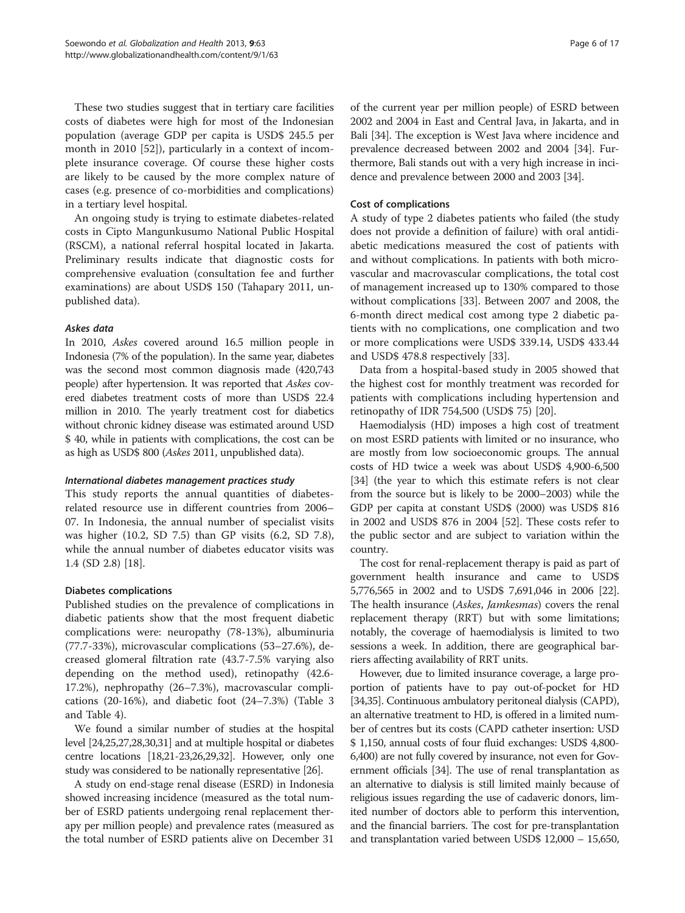These two studies suggest that in tertiary care facilities costs of diabetes were high for most of the Indonesian population (average GDP per capita is USD\$ 245.5 per month in 2010 [\[52\]](#page-16-0)), particularly in a context of incomplete insurance coverage. Of course these higher costs are likely to be caused by the more complex nature of cases (e.g. presence of co-morbidities and complications) in a tertiary level hospital.

An ongoing study is trying to estimate diabetes-related costs in Cipto Mangunkusumo National Public Hospital (RSCM), a national referral hospital located in Jakarta. Preliminary results indicate that diagnostic costs for comprehensive evaluation (consultation fee and further examinations) are about USD\$ 150 (Tahapary 2011, unpublished data).

## Askes data

In 2010, Askes covered around 16.5 million people in Indonesia (7% of the population). In the same year, diabetes was the second most common diagnosis made (420,743 people) after hypertension. It was reported that Askes covered diabetes treatment costs of more than USD\$ 22.4 million in 2010. The yearly treatment cost for diabetics without chronic kidney disease was estimated around USD \$ 40, while in patients with complications, the cost can be as high as USD\$ 800 (Askes 2011, unpublished data).

## International diabetes management practices study

This study reports the annual quantities of diabetesrelated resource use in different countries from 2006– 07. In Indonesia, the annual number of specialist visits was higher (10.2, SD 7.5) than GP visits (6.2, SD 7.8), while the annual number of diabetes educator visits was 1.4 (SD 2.8) [\[18\]](#page-15-0).

## Diabetes complications

Published studies on the prevalence of complications in diabetic patients show that the most frequent diabetic complications were: neuropathy (78-13%), albuminuria (77.7-33%), microvascular complications (53–27.6%), decreased glomeral filtration rate (43.7-7.5% varying also depending on the method used), retinopathy (42.6- 17.2%), nephropathy (26–7.3%), macrovascular complications (20-16%), and diabetic foot (24–7.3%) (Table [3](#page-6-0) and Table [4\)](#page-8-0).

We found a similar number of studies at the hospital level [\[24,25,27,28,30,31\]](#page-15-0) and at multiple hospital or diabetes centre locations [\[18,21](#page-15-0)-[23,26,29,32](#page-15-0)]. However, only one study was considered to be nationally representative [[26\]](#page-15-0).

A study on end-stage renal disease (ESRD) in Indonesia showed increasing incidence (measured as the total number of ESRD patients undergoing renal replacement therapy per million people) and prevalence rates (measured as the total number of ESRD patients alive on December 31

of the current year per million people) of ESRD between 2002 and 2004 in East and Central Java, in Jakarta, and in Bali [[34](#page-15-0)]. The exception is West Java where incidence and prevalence decreased between 2002 and 2004 [\[34\]](#page-15-0). Furthermore, Bali stands out with a very high increase in incidence and prevalence between 2000 and 2003 [\[34\]](#page-15-0).

## Cost of complications

A study of type 2 diabetes patients who failed (the study does not provide a definition of failure) with oral antidiabetic medications measured the cost of patients with and without complications. In patients with both microvascular and macrovascular complications, the total cost of management increased up to 130% compared to those without complications [[33\]](#page-15-0). Between 2007 and 2008, the 6-month direct medical cost among type 2 diabetic patients with no complications, one complication and two or more complications were USD\$ 339.14, USD\$ 433.44 and USD\$ 478.8 respectively [\[33](#page-15-0)].

Data from a hospital-based study in 2005 showed that the highest cost for monthly treatment was recorded for patients with complications including hypertension and retinopathy of IDR 754,500 (USD\$ 75) [[20\]](#page-15-0).

Haemodialysis (HD) imposes a high cost of treatment on most ESRD patients with limited or no insurance, who are mostly from low socioeconomic groups. The annual costs of HD twice a week was about USD\$ 4,900-6,500 [[34](#page-15-0)] (the year to which this estimate refers is not clear from the source but is likely to be 2000–2003) while the GDP per capita at constant USD\$ (2000) was USD\$ 816 in 2002 and USD\$ 876 in 2004 [\[52\]](#page-16-0). These costs refer to the public sector and are subject to variation within the country.

The cost for renal-replacement therapy is paid as part of government health insurance and came to USD\$ 5,776,565 in 2002 and to USD\$ 7,691,046 in 2006 [[22](#page-15-0)]. The health insurance (*Askes, Jamkesmas*) covers the renal replacement therapy (RRT) but with some limitations; notably, the coverage of haemodialysis is limited to two sessions a week. In addition, there are geographical barriers affecting availability of RRT units.

However, due to limited insurance coverage, a large proportion of patients have to pay out-of-pocket for HD [[34,35\]](#page-15-0). Continuous ambulatory peritoneal dialysis (CAPD), an alternative treatment to HD, is offered in a limited number of centres but its costs (CAPD catheter insertion: USD \$ 1,150, annual costs of four fluid exchanges: USD\$ 4,800- 6,400) are not fully covered by insurance, not even for Government officials [\[34\]](#page-15-0). The use of renal transplantation as an alternative to dialysis is still limited mainly because of religious issues regarding the use of cadaveric donors, limited number of doctors able to perform this intervention, and the financial barriers. The cost for pre-transplantation and transplantation varied between USD\$ 12,000 – 15,650,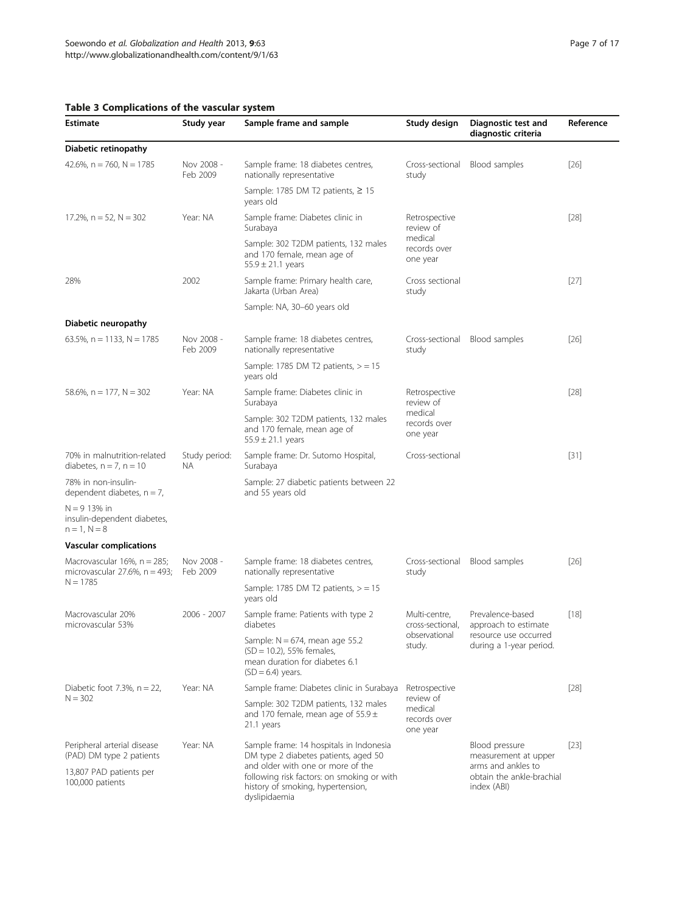## <span id="page-6-0"></span>Table 3 Complications of the vascular system

| <b>Estimate</b>                                                                  | Study year             | Sample frame and sample                                                                                                               | Study design                                                 | Diagnostic test and<br>diagnostic criteria                                                   | Reference |
|----------------------------------------------------------------------------------|------------------------|---------------------------------------------------------------------------------------------------------------------------------------|--------------------------------------------------------------|----------------------------------------------------------------------------------------------|-----------|
| Diabetic retinopathy                                                             |                        |                                                                                                                                       |                                                              |                                                                                              |           |
| 42.6%, $n = 760$ , $N = 1785$                                                    | Nov 2008 -<br>Feb 2009 | Sample frame: 18 diabetes centres,<br>nationally representative                                                                       | Cross-sectional<br>study                                     | Blood samples                                                                                | $[26]$    |
|                                                                                  |                        | Sample: 1785 DM T2 patients, $\geq$ 15<br>years old                                                                                   |                                                              |                                                                                              |           |
| 17.2%, $n = 52$ , $N = 302$                                                      | Year: NA               | Sample frame: Diabetes clinic in<br>Surabaya                                                                                          | Retrospective<br>review of                                   |                                                                                              | $[28]$    |
|                                                                                  |                        | Sample: 302 T2DM patients, 132 males<br>and 170 female, mean age of<br>$55.9 \pm 21.1$ years                                          | medical<br>records over<br>one year                          |                                                                                              |           |
| 28%                                                                              | 2002                   | Sample frame: Primary health care,<br>Jakarta (Urban Area)                                                                            | Cross sectional<br>study                                     |                                                                                              | $[27]$    |
|                                                                                  |                        | Sample: NA, 30-60 years old                                                                                                           |                                                              |                                                                                              |           |
| Diabetic neuropathy                                                              |                        |                                                                                                                                       |                                                              |                                                                                              |           |
| 63.5%, $n = 1133$ , $N = 1785$                                                   | Nov 2008 -<br>Feb 2009 | Sample frame: 18 diabetes centres,<br>nationally representative                                                                       | study                                                        | Cross-sectional Blood samples                                                                | $[26]$    |
|                                                                                  |                        | Sample: 1785 DM T2 patients, $>$ = 15<br>years old                                                                                    |                                                              |                                                                                              |           |
| 58.6%, $n = 177$ , $N = 302$                                                     | Year: NA               | Sample frame: Diabetes clinic in<br>Surabaya                                                                                          | Retrospective<br>review of                                   |                                                                                              | $[28]$    |
|                                                                                  |                        | Sample: 302 T2DM patients, 132 males<br>and 170 female, mean age of<br>$55.9 \pm 21.1$ years                                          | medical<br>records over<br>one year                          |                                                                                              |           |
| 70% in malnutrition-related<br>diabetes, $n = 7$ , $n = 10$                      | Study period:<br>ΝA    | Sample frame: Dr. Sutomo Hospital,<br>Surabaya                                                                                        | Cross-sectional                                              |                                                                                              | $[31]$    |
| 78% in non-insulin-<br>dependent diabetes, $n = 7$ ,                             |                        | Sample: 27 diabetic patients between 22<br>and 55 years old                                                                           |                                                              |                                                                                              |           |
| $N = 913%$ in<br>insulin-dependent diabetes,<br>$n = 1, N = 8$                   |                        |                                                                                                                                       |                                                              |                                                                                              |           |
| Vascular complications                                                           |                        |                                                                                                                                       |                                                              |                                                                                              |           |
| Macrovascular 16%, $n = 285$ ;<br>microvascular 27.6%, $n = 493$ ;<br>$N = 1785$ | Nov 2008 -<br>Feb 2009 | Sample frame: 18 diabetes centres,<br>nationally representative                                                                       | study                                                        | Cross-sectional Blood samples                                                                | $[26]$    |
|                                                                                  |                        | Sample: 1785 DM T2 patients, $> = 15$<br>years old                                                                                    |                                                              |                                                                                              |           |
| Macrovascular 20%<br>microvascular 53%                                           | 2006 - 2007            | Sample frame: Patients with type 2<br>diabetes                                                                                        | Multi-centre.<br>cross-sectional,<br>observational<br>study. | Prevalence-based<br>approach to estimate<br>resource use occurred<br>during a 1-year period. | $[18]$    |
|                                                                                  |                        | Sample: $N = 674$ , mean age 55.2<br>$(SD = 10.2)$ , 55% females,<br>mean duration for diabetes 6.1<br>$(SD = 6.4)$ years.            |                                                              |                                                                                              |           |
| Diabetic foot 7.3%, $n = 22$ ,                                                   | Year: NA               | Sample frame: Diabetes clinic in Surabaya                                                                                             | Retrospective                                                |                                                                                              | $[28]$    |
| $N = 302$                                                                        |                        | Sample: 302 T2DM patients, 132 males<br>and 170 female, mean age of $55.9 \pm$<br>21.1 years                                          | review of<br>medical<br>records over<br>one year             |                                                                                              |           |
| Peripheral arterial disease<br>(PAD) DM type 2 patients                          | Year: NA               | Sample frame: 14 hospitals in Indonesia<br>DM type 2 diabetes patients, aged 50                                                       | Blood pressure<br>measurement at upper                       |                                                                                              | $[23]$    |
| 13,807 PAD patients per<br>100,000 patients                                      |                        | and older with one or more of the<br>following risk factors: on smoking or with<br>history of smoking, hypertension,<br>dyslipidaemia |                                                              | arms and ankles to<br>obtain the ankle-brachial<br>index (ABI)                               |           |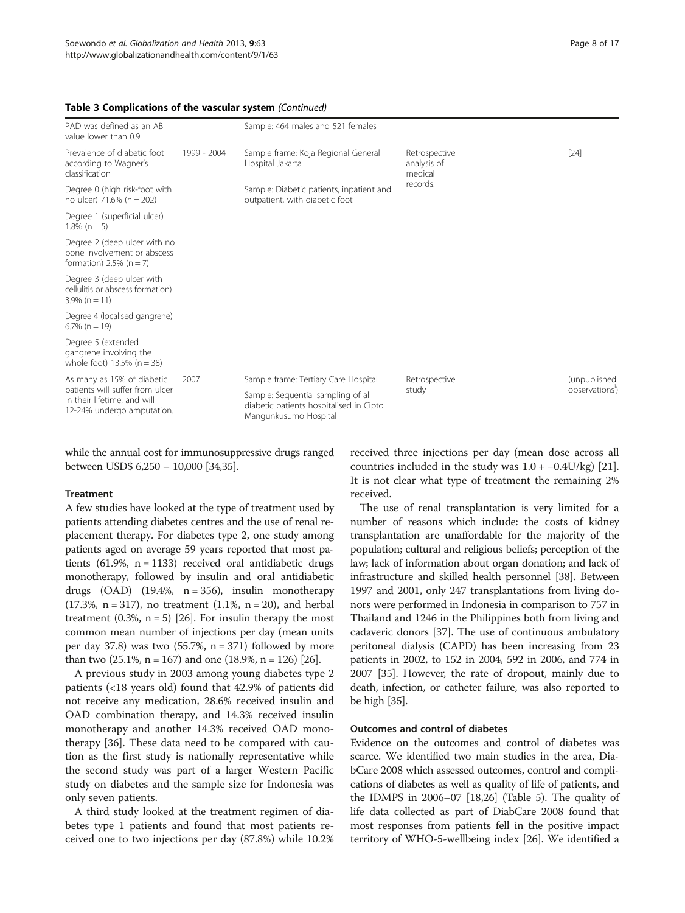#### Table 3 Complications of the vascular system (Continued)

| PAD was defined as an ABI<br>value lower than 0.9.                                                                         |             | Sample: 464 males and 521 females                                                                      |                                         |               |
|----------------------------------------------------------------------------------------------------------------------------|-------------|--------------------------------------------------------------------------------------------------------|-----------------------------------------|---------------|
| Prevalence of diabetic foot<br>according to Wagner's<br>classification                                                     | 1999 - 2004 | Sample frame: Koja Regional General<br>Hospital Jakarta                                                | Retrospective<br>analysis of<br>medical | $[24]$        |
| Degree 0 (high risk-foot with<br>no ulcer) $71.6\%$ (n = 202)                                                              |             | Sample: Diabetic patients, inpatient and<br>outpatient, with diabetic foot                             | records.                                |               |
| Degree 1 (superficial ulcer)<br>$1.8\%$ (n = 5)                                                                            |             |                                                                                                        |                                         |               |
| Degree 2 (deep ulcer with no<br>bone involvement or abscess<br>formation) $2.5\%$ (n = 7)                                  |             |                                                                                                        |                                         |               |
| Degree 3 (deep ulcer with<br>cellulitis or abscess formation)<br>$3.9\%$ (n = 11)                                          |             |                                                                                                        |                                         |               |
| Degree 4 (localised gangrene)<br>$6.7\%$ (n = 19)                                                                          |             |                                                                                                        |                                         |               |
| Degree 5 (extended<br>gangrene involving the<br>whole foot) $13.5\%$ (n = 38)                                              |             |                                                                                                        |                                         |               |
| As many as 15% of diabetic<br>patients will suffer from ulcer<br>in their lifetime, and will<br>12-24% undergo amputation. | 2007        | Sample frame: Tertiary Care Hospital                                                                   | Retrospective<br>study                  | (unpublished  |
|                                                                                                                            |             | Sample: Sequential sampling of all<br>diabetic patients hospitalised in Cipto<br>Mangunkusumo Hospital |                                         | observations" |

while the annual cost for immunosuppressive drugs ranged between USD\$ 6,250 – 10,000 [[34,35\]](#page-15-0).

#### Treatment

A few studies have looked at the type of treatment used by patients attending diabetes centres and the use of renal replacement therapy. For diabetes type 2, one study among patients aged on average 59 years reported that most patients  $(61.9\% , n = 1133)$  received oral antidiabetic drugs monotherapy, followed by insulin and oral antidiabetic drugs  $(OAD)$   $(19.4\%, n = 356)$ , insulin monotherapy  $(17.3\%, n = 317)$ , no treatment  $(1.1\%, n = 20)$ , and herbal treatment  $(0.3\% , n = 5)$  [[26](#page-15-0)]. For insulin therapy the most common mean number of injections per day (mean units per day 37.8) was two  $(55.7\% , n = 371)$  followed by more than two  $(25.1\%, n = 167)$  and one  $(18.9\%, n = 126)$  [\[26\]](#page-15-0).

A previous study in 2003 among young diabetes type 2 patients (<18 years old) found that 42.9% of patients did not receive any medication, 28.6% received insulin and OAD combination therapy, and 14.3% received insulin monotherapy and another 14.3% received OAD monotherapy [[36\]](#page-15-0). These data need to be compared with caution as the first study is nationally representative while the second study was part of a larger Western Pacific study on diabetes and the sample size for Indonesia was only seven patients.

A third study looked at the treatment regimen of diabetes type 1 patients and found that most patients received one to two injections per day (87.8%) while 10.2%

received three injections per day (mean dose across all countries included in the study was 1.0 + −0.4U/kg) [\[21](#page-15-0)]. It is not clear what type of treatment the remaining 2% received.

The use of renal transplantation is very limited for a number of reasons which include: the costs of kidney transplantation are unaffordable for the majority of the population; cultural and religious beliefs; perception of the law; lack of information about organ donation; and lack of infrastructure and skilled health personnel [\[38\]](#page-16-0). Between 1997 and 2001, only 247 transplantations from living donors were performed in Indonesia in comparison to 757 in Thailand and 1246 in the Philippines both from living and cadaveric donors [\[37](#page-15-0)]. The use of continuous ambulatory peritoneal dialysis (CAPD) has been increasing from 23 patients in 2002, to 152 in 2004, 592 in 2006, and 774 in 2007 [\[35](#page-15-0)]. However, the rate of dropout, mainly due to death, infection, or catheter failure, was also reported to be high [[35\]](#page-15-0).

#### Outcomes and control of diabetes

Evidence on the outcomes and control of diabetes was scarce. We identified two main studies in the area, DiabCare 2008 which assessed outcomes, control and complications of diabetes as well as quality of life of patients, and the IDMPS in 2006–07 [[18,26\]](#page-15-0) (Table [5\)](#page-10-0). The quality of life data collected as part of DiabCare 2008 found that most responses from patients fell in the positive impact territory of WHO-5-wellbeing index [\[26\]](#page-15-0). We identified a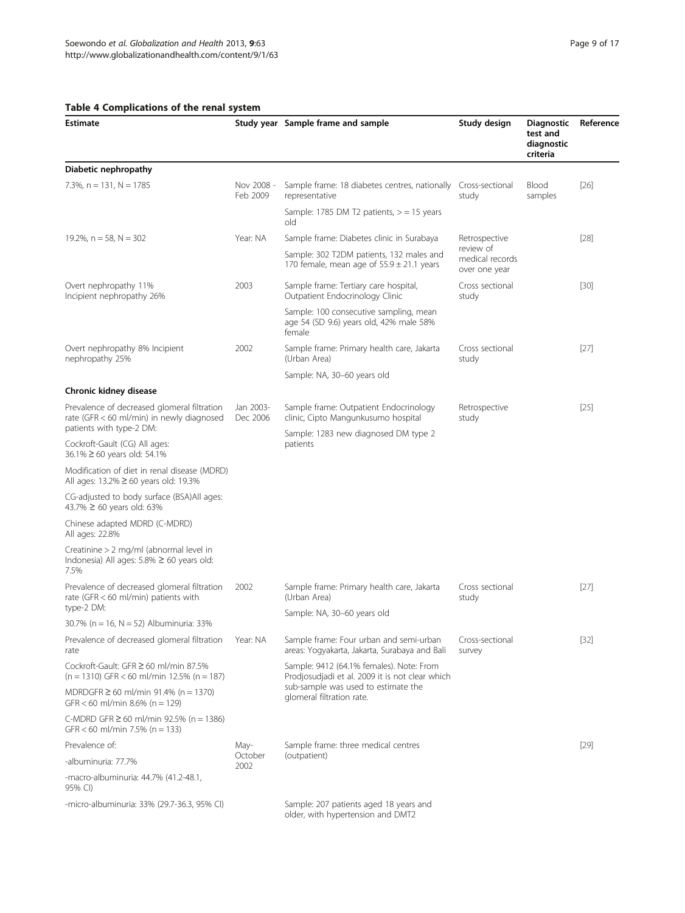## <span id="page-8-0"></span>Table 4 Complications of the renal system

| <b>Estimate</b>                                                                                                      |                        | Study year Sample frame and sample                                                                                                                                                                               | Study design                                  | <b>Diagnostic</b><br>test and<br>diagnostic<br>criteria | Reference |
|----------------------------------------------------------------------------------------------------------------------|------------------------|------------------------------------------------------------------------------------------------------------------------------------------------------------------------------------------------------------------|-----------------------------------------------|---------------------------------------------------------|-----------|
| Diabetic nephropathy                                                                                                 |                        |                                                                                                                                                                                                                  |                                               |                                                         |           |
| 7.3%, $n = 131$ , $N = 1785$                                                                                         | Nov 2008 -<br>Feb 2009 | Sample frame: 18 diabetes centres, nationally<br>representative                                                                                                                                                  | Cross-sectional<br>study                      | <b>Blood</b><br>samples                                 | $[26]$    |
|                                                                                                                      |                        | Sample: 1785 DM T2 patients, $>$ = 15 years<br>old                                                                                                                                                               |                                               |                                                         |           |
| 19.2%, $n = 58$ , $N = 302$                                                                                          | Year: NA               | Sample frame: Diabetes clinic in Surabaya                                                                                                                                                                        | Retrospective                                 |                                                         | $[28]$    |
|                                                                                                                      |                        | Sample: 302 T2DM patients, 132 males and<br>170 female, mean age of $55.9 \pm 21.1$ years                                                                                                                        | review of<br>medical records<br>over one year |                                                         |           |
| Overt nephropathy 11%<br>Incipient nephropathy 26%                                                                   | 2003                   | Sample frame: Tertiary care hospital,<br>Outpatient Endocrinology Clinic                                                                                                                                         | Cross sectional<br>study                      |                                                         | $[30]$    |
|                                                                                                                      |                        | Sample: 100 consecutive sampling, mean<br>age 54 (SD 9.6) years old, 42% male 58%<br>female                                                                                                                      |                                               |                                                         |           |
| Overt nephropathy 8% Incipient<br>nephropathy 25%                                                                    | 2002                   | Sample frame: Primary health care, Jakarta<br>(Urban Area)                                                                                                                                                       | Cross sectional<br>study                      |                                                         | $[27]$    |
|                                                                                                                      |                        | Sample: NA, 30-60 years old                                                                                                                                                                                      |                                               |                                                         |           |
| Chronic kidney disease                                                                                               |                        |                                                                                                                                                                                                                  |                                               |                                                         |           |
| Prevalence of decreased glomeral filtration<br>rate (GFR < 60 ml/min) in newly diagnosed<br>patients with type-2 DM: | Jan 2003-<br>Dec 2006  | Sample frame: Outpatient Endocrinology<br>clinic, Cipto Mangunkusumo hospital                                                                                                                                    | Retrospective<br>study                        |                                                         | $[25]$    |
| Cockroft-Gault (CG) All ages:<br>36.1% ≥ 60 years old: 54.1%                                                         |                        | Sample: 1283 new diagnosed DM type 2<br>patients                                                                                                                                                                 |                                               |                                                         |           |
| Modification of diet in renal disease (MDRD)<br>All ages: $13.2\% \ge 60$ years old: 19.3%                           |                        |                                                                                                                                                                                                                  |                                               |                                                         |           |
| CG-adjusted to body surface (BSA)All ages:<br>43.7% $\geq 60$ years old: 63%                                         |                        |                                                                                                                                                                                                                  |                                               |                                                         |           |
| Chinese adapted MDRD (C-MDRD)<br>All ages: 22.8%                                                                     |                        |                                                                                                                                                                                                                  |                                               |                                                         |           |
| Creatinine > 2 mg/ml (abnormal level in<br>Indonesia) All ages: $5.8\% \geq 60$ years old:<br>7.5%                   |                        |                                                                                                                                                                                                                  |                                               |                                                         |           |
| Prevalence of decreased glomeral filtration<br>rate (GFR < 60 ml/min) patients with                                  | 2002                   | Sample frame: Primary health care, Jakarta<br>(Urban Area)                                                                                                                                                       | Cross sectional<br>study                      |                                                         | [27]      |
| type-2 DM:<br>30.7% (n = 16, N = 52) Albuminuria: 33%                                                                |                        | Sample: NA, 30-60 years old                                                                                                                                                                                      |                                               |                                                         |           |
| Prevalence of decreased glomeral filtration                                                                          | Year: NA               | Sample frame: Four urban and semi-urban                                                                                                                                                                          | Cross-sectional                               |                                                         | $[32]$    |
| rate<br>Cockroft-Gault: GFR ≥ 60 ml/min 87.5%                                                                        |                        | areas: Yogyakarta, Jakarta, Surabaya and Bali<br>Sample: 9412 (64.1% females). Note: From<br>Prodjosudjadi et al. 2009 it is not clear which<br>sub-sample was used to estimate the<br>glomeral filtration rate. | survey                                        |                                                         |           |
| $(n = 1310)$ GFR < 60 ml/min 12.5% (n = 187)                                                                         |                        |                                                                                                                                                                                                                  |                                               |                                                         |           |
| MDRDGFR $\geq 60$ ml/min 91.4% (n = 1370)<br>GFR < 60 ml/min 8.6% (n = 129)                                          |                        |                                                                                                                                                                                                                  |                                               |                                                         |           |
| C-MDRD GFR $\geq$ 60 ml/min 92.5% (n = 1386)<br>GFR < 60 ml/min 7.5% (n = 133)                                       |                        |                                                                                                                                                                                                                  |                                               |                                                         |           |
| Prevalence of:                                                                                                       | May-                   | Sample frame: three medical centres                                                                                                                                                                              |                                               |                                                         | $[29]$    |
| -albuminuria: 77.7%                                                                                                  | October<br>2002        | (outpatient)                                                                                                                                                                                                     |                                               |                                                         |           |
| -macro-albuminuria: 44.7% (41.2-48.1,<br>95% CI)                                                                     |                        |                                                                                                                                                                                                                  |                                               |                                                         |           |
| -micro-albuminuria: 33% (29.7-36.3, 95% CI)                                                                          |                        | Sample: 207 patients aged 18 years and<br>older, with hypertension and DMT2                                                                                                                                      |                                               |                                                         |           |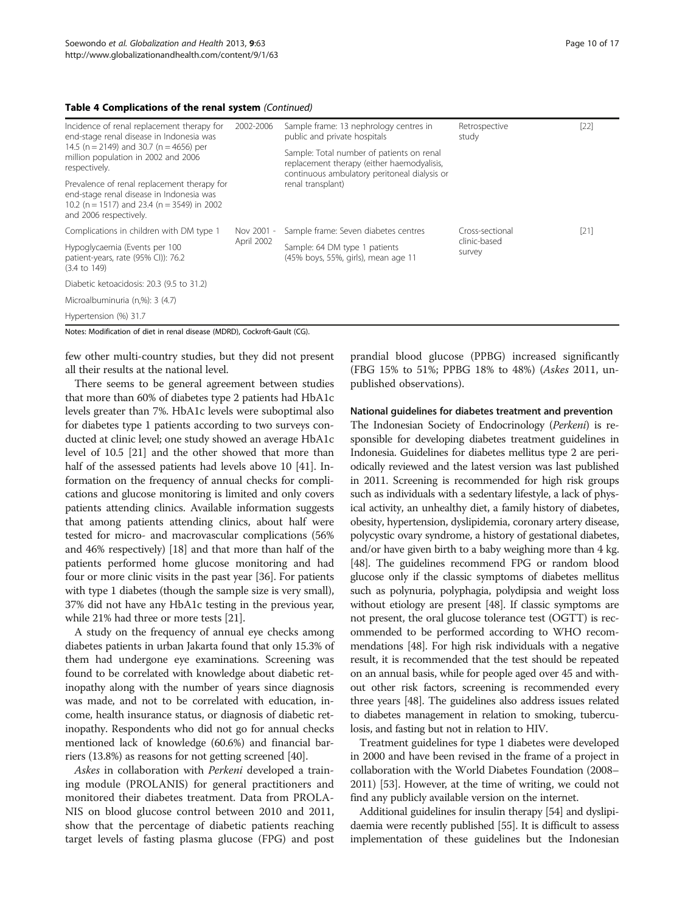#### Table 4 Complications of the renal system (Continued)

| Incidence of renal replacement therapy for<br>end-stage renal disease in Indonesia was<br>14.5 (n = 2149) and 30.7 (n = 4656) per<br>million population in 2002 and 2006<br>respectively. | 2002-2006                | Sample frame: 13 nephrology centres in<br>public and private hospitals                                                                                       | Retrospective<br>study                                               | $[22]$                                    |        |
|-------------------------------------------------------------------------------------------------------------------------------------------------------------------------------------------|--------------------------|--------------------------------------------------------------------------------------------------------------------------------------------------------------|----------------------------------------------------------------------|-------------------------------------------|--------|
|                                                                                                                                                                                           |                          | Sample: Total number of patients on renal<br>replacement therapy (either haemodyalisis,<br>continuous ambulatory peritoneal dialysis or<br>renal transplant) |                                                                      |                                           |        |
| Prevalence of renal replacement therapy for<br>end-stage renal disease in Indonesia was<br>10.2 (n = 1517) and 23.4 (n = 3549) in 2002<br>and 2006 respectively.                          |                          |                                                                                                                                                              |                                                                      |                                           |        |
| Complications in children with DM type 1                                                                                                                                                  | Nov 2001 -<br>April 2002 |                                                                                                                                                              | Sample frame: Seven diabetes centres                                 | Cross-sectional<br>clinic-based<br>survey | $[21]$ |
| Hypoglycaemia (Events per 100<br>patient-years, rate (95% CI)): 76.2<br>$(3.4 \text{ to } 149)$                                                                                           |                          |                                                                                                                                                              | Sample: 64 DM type 1 patients<br>(45% boys, 55%, girls), mean age 11 |                                           |        |
| Diabetic ketoacidosis: 20.3 (9.5 to 31.2)                                                                                                                                                 |                          |                                                                                                                                                              |                                                                      |                                           |        |
| Microalbuminuria (n,%): 3 (4.7)                                                                                                                                                           |                          |                                                                                                                                                              |                                                                      |                                           |        |
| Hypertension (%) 31.7                                                                                                                                                                     |                          |                                                                                                                                                              |                                                                      |                                           |        |

Notes: Modification of diet in renal disease (MDRD), Cockroft-Gault (CG).

few other multi-country studies, but they did not present all their results at the national level.

There seems to be general agreement between studies that more than 60% of diabetes type 2 patients had HbA1c levels greater than 7%. HbA1c levels were suboptimal also for diabetes type 1 patients according to two surveys conducted at clinic level; one study showed an average HbA1c level of 10.5 [[21](#page-15-0)] and the other showed that more than half of the assessed patients had levels above 10 [\[41\]](#page-16-0). Information on the frequency of annual checks for complications and glucose monitoring is limited and only covers patients attending clinics. Available information suggests that among patients attending clinics, about half were tested for micro- and macrovascular complications (56% and 46% respectively) [\[18\]](#page-15-0) and that more than half of the patients performed home glucose monitoring and had four or more clinic visits in the past year [\[36\]](#page-15-0). For patients with type 1 diabetes (though the sample size is very small), 37% did not have any HbA1c testing in the previous year, while 21% had three or more tests [\[21](#page-15-0)].

A study on the frequency of annual eye checks among diabetes patients in urban Jakarta found that only 15.3% of them had undergone eye examinations. Screening was found to be correlated with knowledge about diabetic retinopathy along with the number of years since diagnosis was made, and not to be correlated with education, income, health insurance status, or diagnosis of diabetic retinopathy. Respondents who did not go for annual checks mentioned lack of knowledge (60.6%) and financial barriers (13.8%) as reasons for not getting screened [\[40\]](#page-16-0).

Askes in collaboration with Perkeni developed a training module (PROLANIS) for general practitioners and monitored their diabetes treatment. Data from PROLA-NIS on blood glucose control between 2010 and 2011, show that the percentage of diabetic patients reaching target levels of fasting plasma glucose (FPG) and post prandial blood glucose (PPBG) increased significantly (FBG 15% to 51%; PPBG 18% to 48%) (Askes 2011, unpublished observations).

#### National guidelines for diabetes treatment and prevention

The Indonesian Society of Endocrinology (Perkeni) is responsible for developing diabetes treatment guidelines in Indonesia. Guidelines for diabetes mellitus type 2 are periodically reviewed and the latest version was last published in 2011. Screening is recommended for high risk groups such as individuals with a sedentary lifestyle, a lack of physical activity, an unhealthy diet, a family history of diabetes, obesity, hypertension, dyslipidemia, coronary artery disease, polycystic ovary syndrome, a history of gestational diabetes, and/or have given birth to a baby weighing more than 4 kg. [[48](#page-16-0)]. The guidelines recommend FPG or random blood glucose only if the classic symptoms of diabetes mellitus such as polynuria, polyphagia, polydipsia and weight loss without etiology are present [\[48\]](#page-16-0). If classic symptoms are not present, the oral glucose tolerance test (OGTT) is recommended to be performed according to WHO recommendations [\[48\]](#page-16-0). For high risk individuals with a negative result, it is recommended that the test should be repeated on an annual basis, while for people aged over 45 and without other risk factors, screening is recommended every three years [[48](#page-16-0)]. The guidelines also address issues related to diabetes management in relation to smoking, tuberculosis, and fasting but not in relation to HIV.

Treatment guidelines for type 1 diabetes were developed in 2000 and have been revised in the frame of a project in collaboration with the World Diabetes Foundation (2008– 2011) [\[53](#page-16-0)]. However, at the time of writing, we could not find any publicly available version on the internet.

Additional guidelines for insulin therapy [\[54\]](#page-16-0) and dyslipidaemia were recently published [[55](#page-16-0)]. It is difficult to assess implementation of these guidelines but the Indonesian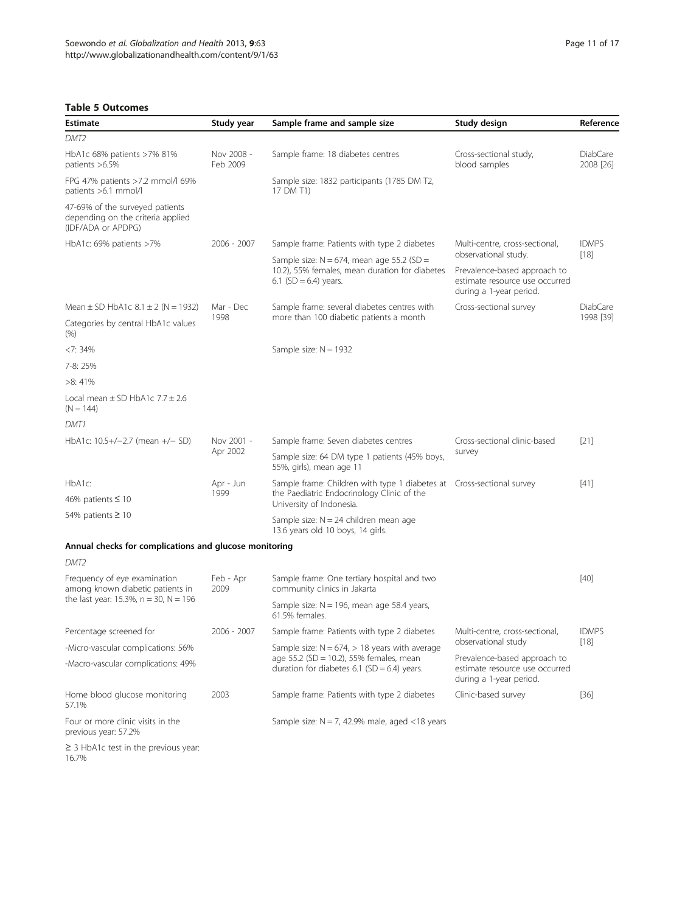## <span id="page-10-0"></span>Table 5 Outcomes

| Estimate                                                                                                       | Study year             | Sample frame and sample size                                                                                                                 | Study design                                                                                                      | Reference             |
|----------------------------------------------------------------------------------------------------------------|------------------------|----------------------------------------------------------------------------------------------------------------------------------------------|-------------------------------------------------------------------------------------------------------------------|-----------------------|
| DMT <sub>2</sub>                                                                                               |                        |                                                                                                                                              |                                                                                                                   |                       |
| HbA1c 68% patients >7% 81%<br>patients >6.5%                                                                   | Nov 2008 -<br>Feb 2009 | Sample frame: 18 diabetes centres                                                                                                            | Cross-sectional study,<br>blood samples                                                                           | DiabCare<br>2008 [26] |
| FPG 47% patients >7.2 mmol/l 69%<br>patients >6.1 mmol/l                                                       |                        | Sample size: 1832 participants (1785 DM T2,<br>17 DM T1)                                                                                     |                                                                                                                   |                       |
| 47-69% of the surveyed patients<br>depending on the criteria applied<br>(IDF/ADA or APDPG)                     |                        |                                                                                                                                              |                                                                                                                   |                       |
| HbA1c: 69% patients $>7\%$                                                                                     | $2006 - 2007$          | Sample frame: Patients with type 2 diabetes                                                                                                  | Multi-centre, cross-sectional,                                                                                    | <b>IDMPS</b>          |
|                                                                                                                |                        | Sample size: $N = 674$ , mean age 55.2 (SD =<br>10.2), 55% females, mean duration for diabetes<br>6.1 (SD = 6.4) years.                      | observational study.<br>Prevalence-based approach to<br>estimate resource use occurred<br>during a 1-year period. | $[18]$                |
| Mean $\pm$ SD HbA1c 8.1 $\pm$ 2 (N = 1932)                                                                     | Mar - Dec              | Sample frame: several diabetes centres with                                                                                                  | Cross-sectional survey                                                                                            | DiabCare              |
| Categories by central HbA1c values<br>(% )                                                                     | 1998                   | more than 100 diabetic patients a month                                                                                                      |                                                                                                                   | 1998 [39]             |
| <7:34%                                                                                                         |                        | Sample size: $N = 1932$                                                                                                                      |                                                                                                                   |                       |
| 7-8: 25%                                                                                                       |                        |                                                                                                                                              |                                                                                                                   |                       |
| $>8:41\%$                                                                                                      |                        |                                                                                                                                              |                                                                                                                   |                       |
| Local mean $\pm$ SD HbA1c 7.7 $\pm$ 2.6<br>$(N = 144)$                                                         |                        |                                                                                                                                              |                                                                                                                   |                       |
| DMT1                                                                                                           |                        |                                                                                                                                              |                                                                                                                   |                       |
| HbA1c: $10.5+/-2.7$ (mean $+/-$ SD)                                                                            | Nov 2001 -<br>Apr 2002 | Sample frame: Seven diabetes centres                                                                                                         | Cross-sectional clinic-based<br>survey                                                                            | $[21]$                |
|                                                                                                                |                        | Sample size: 64 DM type 1 patients (45% boys,<br>55%, girls), mean age 11                                                                    |                                                                                                                   |                       |
| HbA1c:<br>46% patients $\leq 10$                                                                               | Apr - Jun<br>1999      | Sample frame: Children with type 1 diabetes at<br>the Paediatric Endocrinology Clinic of the                                                 | Cross-sectional survey                                                                                            | $[41]$                |
| 54% patients $\geq 10$                                                                                         |                        | University of Indonesia.                                                                                                                     |                                                                                                                   |                       |
|                                                                                                                |                        | Sample size: $N = 24$ children mean age<br>13.6 years old 10 boys, 14 girls.                                                                 |                                                                                                                   |                       |
| Annual checks for complications and glucose monitoring                                                         |                        |                                                                                                                                              |                                                                                                                   |                       |
| DMT <sub>2</sub>                                                                                               |                        |                                                                                                                                              |                                                                                                                   |                       |
| Frequency of eye examination<br>among known diabetic patients in<br>the last year: 15.3%, $n = 30$ , $N = 196$ | Feb - Apr<br>2009      | Sample frame: One tertiary hospital and two<br>community clinics in Jakarta                                                                  |                                                                                                                   | $[40]$                |
|                                                                                                                |                        | Sample size: $N = 196$ , mean age 58.4 years,<br>61.5% females.                                                                              |                                                                                                                   |                       |
| Percentage screened for                                                                                        | $2006 - 2007$          | Sample frame: Patients with type 2 diabetes                                                                                                  | Multi-centre, cross-sectional,                                                                                    | <b>IDMPS</b>          |
| -Micro-vascular complications: 56%                                                                             |                        | Sample size: $N = 674$ , $> 18$ years with average<br>age 55.2 (SD = 10.2), 55% females, mean<br>duration for diabetes 6.1 (SD = 6.4) years. | observational study                                                                                               | $[18]$                |
| -Macro-vascular complications: 49%                                                                             |                        |                                                                                                                                              | Prevalence-based approach to<br>estimate resource use occurred<br>during a 1-year period.                         |                       |
| Home blood glucose monitoring<br>57.1%                                                                         | 2003                   | Sample frame: Patients with type 2 diabetes                                                                                                  | Clinic-based survey                                                                                               | $[36]$                |
| Four or more clinic visits in the<br>previous year: 57.2%                                                      |                        | Sample size: $N = 7$ , 42.9% male, aged <18 years                                                                                            |                                                                                                                   |                       |
| $\geq$ 3 HbA1c test in the previous year:<br>16.7%                                                             |                        |                                                                                                                                              |                                                                                                                   |                       |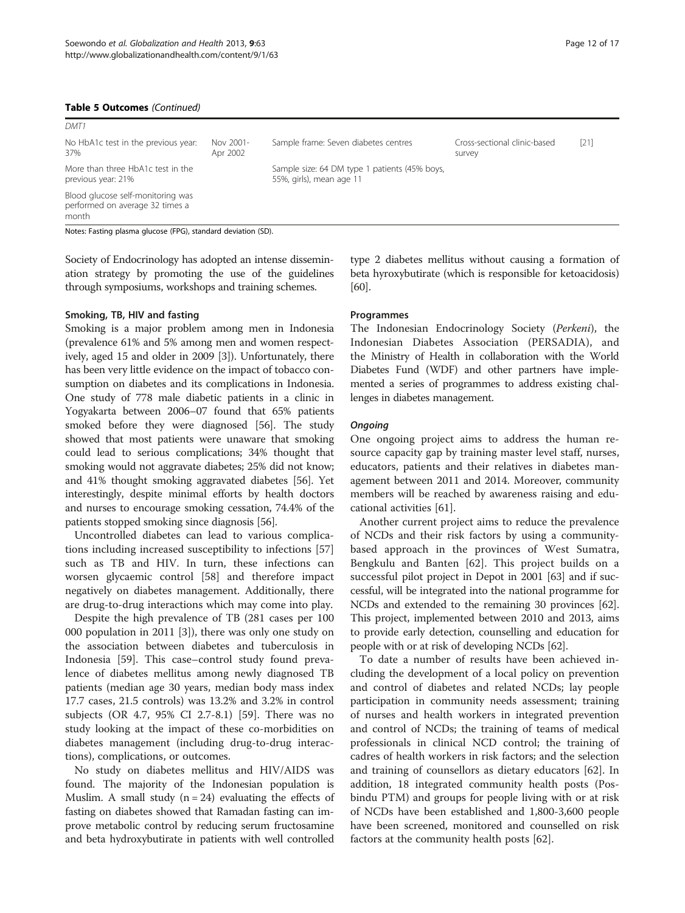#### Table 5 Outcomes (Continued)

Blood glucose self-monitoring was performed on average 32 times a

DMT<sub>1</sub>

37%

month

Notes: Fasting plasma glucose (FPG), standard deviation (SD).

Society of Endocrinology has adopted an intense dissemination strategy by promoting the use of the guidelines through symposiums, workshops and training schemes.

#### Smoking, TB, HIV and fasting

Smoking is a major problem among men in Indonesia (prevalence 61% and 5% among men and women respectively, aged 15 and older in 2009 [[3](#page-15-0)]). Unfortunately, there has been very little evidence on the impact of tobacco consumption on diabetes and its complications in Indonesia. One study of 778 male diabetic patients in a clinic in Yogyakarta between 2006–07 found that 65% patients smoked before they were diagnosed [\[56\]](#page-16-0). The study showed that most patients were unaware that smoking could lead to serious complications; 34% thought that smoking would not aggravate diabetes; 25% did not know; and 41% thought smoking aggravated diabetes [[56](#page-16-0)]. Yet interestingly, despite minimal efforts by health doctors and nurses to encourage smoking cessation, 74.4% of the patients stopped smoking since diagnosis [\[56](#page-16-0)].

Uncontrolled diabetes can lead to various complications including increased susceptibility to infections [[57](#page-16-0)] such as TB and HIV. In turn, these infections can worsen glycaemic control [\[58\]](#page-16-0) and therefore impact negatively on diabetes management. Additionally, there are drug-to-drug interactions which may come into play.

Despite the high prevalence of TB (281 cases per 100 000 population in 2011 [\[3](#page-15-0)]), there was only one study on the association between diabetes and tuberculosis in Indonesia [\[59\]](#page-16-0). This case–control study found prevalence of diabetes mellitus among newly diagnosed TB patients (median age 30 years, median body mass index 17.7 cases, 21.5 controls) was 13.2% and 3.2% in control subjects (OR 4.7, 95% CI 2.7-8.1) [[59](#page-16-0)]. There was no study looking at the impact of these co-morbidities on diabetes management (including drug-to-drug interactions), complications, or outcomes.

No study on diabetes mellitus and HIV/AIDS was found. The majority of the Indonesian population is Muslim. A small study  $(n = 24)$  evaluating the effects of fasting on diabetes showed that Ramadan fasting can improve metabolic control by reducing serum fructosamine and beta hydroxybutirate in patients with well controlled type 2 diabetes mellitus without causing a formation of beta hyroxybutirate (which is responsible for ketoacidosis) [[60](#page-16-0)].

#### Programmes

The Indonesian Endocrinology Society (Perkeni), the Indonesian Diabetes Association (PERSADIA), and the Ministry of Health in collaboration with the World Diabetes Fund (WDF) and other partners have implemented a series of programmes to address existing challenges in diabetes management.

#### **Ongoing**

One ongoing project aims to address the human resource capacity gap by training master level staff, nurses, educators, patients and their relatives in diabetes management between 2011 and 2014. Moreover, community members will be reached by awareness raising and educational activities [\[61](#page-16-0)].

Another current project aims to reduce the prevalence of NCDs and their risk factors by using a communitybased approach in the provinces of West Sumatra, Bengkulu and Banten [[62](#page-16-0)]. This project builds on a successful pilot project in Depot in 2001 [[63\]](#page-16-0) and if successful, will be integrated into the national programme for NCDs and extended to the remaining 30 provinces [[62](#page-16-0)]. This project, implemented between 2010 and 2013, aims to provide early detection, counselling and education for people with or at risk of developing NCDs [\[62\]](#page-16-0).

To date a number of results have been achieved including the development of a local policy on prevention and control of diabetes and related NCDs; lay people participation in community needs assessment; training of nurses and health workers in integrated prevention and control of NCDs; the training of teams of medical professionals in clinical NCD control; the training of cadres of health workers in risk factors; and the selection and training of counsellors as dietary educators [[62\]](#page-16-0). In addition, 18 integrated community health posts (Posbindu PTM) and groups for people living with or at risk of NCDs have been established and 1,800-3,600 people have been screened, monitored and counselled on risk factors at the community health posts [[62](#page-16-0)].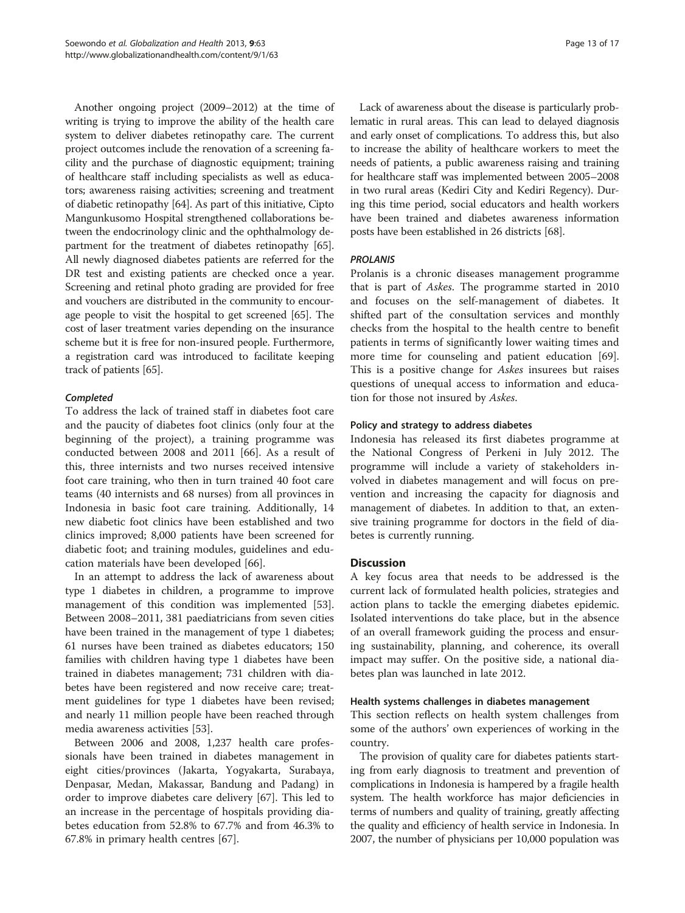Another ongoing project (2009–2012) at the time of writing is trying to improve the ability of the health care system to deliver diabetes retinopathy care. The current project outcomes include the renovation of a screening facility and the purchase of diagnostic equipment; training of healthcare staff including specialists as well as educators; awareness raising activities; screening and treatment of diabetic retinopathy [\[64\]](#page-16-0). As part of this initiative, Cipto Mangunkusomo Hospital strengthened collaborations between the endocrinology clinic and the ophthalmology department for the treatment of diabetes retinopathy [[65](#page-16-0)]. All newly diagnosed diabetes patients are referred for the DR test and existing patients are checked once a year. Screening and retinal photo grading are provided for free and vouchers are distributed in the community to encourage people to visit the hospital to get screened [\[65\]](#page-16-0). The cost of laser treatment varies depending on the insurance scheme but it is free for non-insured people. Furthermore, a registration card was introduced to facilitate keeping track of patients [\[65\]](#page-16-0).

## Completed

To address the lack of trained staff in diabetes foot care and the paucity of diabetes foot clinics (only four at the beginning of the project), a training programme was conducted between 2008 and 2011 [\[66\]](#page-16-0). As a result of this, three internists and two nurses received intensive foot care training, who then in turn trained 40 foot care teams (40 internists and 68 nurses) from all provinces in Indonesia in basic foot care training. Additionally, 14 new diabetic foot clinics have been established and two clinics improved; 8,000 patients have been screened for diabetic foot; and training modules, guidelines and education materials have been developed [[66\]](#page-16-0).

In an attempt to address the lack of awareness about type 1 diabetes in children, a programme to improve management of this condition was implemented [\[53](#page-16-0)]. Between 2008–2011, 381 paediatricians from seven cities have been trained in the management of type 1 diabetes; 61 nurses have been trained as diabetes educators; 150 families with children having type 1 diabetes have been trained in diabetes management; 731 children with diabetes have been registered and now receive care; treatment guidelines for type 1 diabetes have been revised; and nearly 11 million people have been reached through media awareness activities [\[53\]](#page-16-0).

Between 2006 and 2008, 1,237 health care professionals have been trained in diabetes management in eight cities/provinces (Jakarta, Yogyakarta, Surabaya, Denpasar, Medan, Makassar, Bandung and Padang) in order to improve diabetes care delivery [\[67](#page-16-0)]. This led to an increase in the percentage of hospitals providing diabetes education from 52.8% to 67.7% and from 46.3% to 67.8% in primary health centres [[67\]](#page-16-0).

Lack of awareness about the disease is particularly problematic in rural areas. This can lead to delayed diagnosis and early onset of complications. To address this, but also to increase the ability of healthcare workers to meet the needs of patients, a public awareness raising and training for healthcare staff was implemented between 2005–2008 in two rural areas (Kediri City and Kediri Regency). During this time period, social educators and health workers have been trained and diabetes awareness information posts have been established in 26 districts [[68](#page-16-0)].

## PROLANIS

Prolanis is a chronic diseases management programme that is part of Askes. The programme started in 2010 and focuses on the self-management of diabetes. It shifted part of the consultation services and monthly checks from the hospital to the health centre to benefit patients in terms of significantly lower waiting times and more time for counseling and patient education [\[69](#page-16-0)]. This is a positive change for Askes insurees but raises questions of unequal access to information and education for those not insured by Askes.

## Policy and strategy to address diabetes

Indonesia has released its first diabetes programme at the National Congress of Perkeni in July 2012. The programme will include a variety of stakeholders involved in diabetes management and will focus on prevention and increasing the capacity for diagnosis and management of diabetes. In addition to that, an extensive training programme for doctors in the field of diabetes is currently running.

## **Discussion**

A key focus area that needs to be addressed is the current lack of formulated health policies, strategies and action plans to tackle the emerging diabetes epidemic. Isolated interventions do take place, but in the absence of an overall framework guiding the process and ensuring sustainability, planning, and coherence, its overall impact may suffer. On the positive side, a national diabetes plan was launched in late 2012.

### Health systems challenges in diabetes management

This section reflects on health system challenges from some of the authors' own experiences of working in the country.

The provision of quality care for diabetes patients starting from early diagnosis to treatment and prevention of complications in Indonesia is hampered by a fragile health system. The health workforce has major deficiencies in terms of numbers and quality of training, greatly affecting the quality and efficiency of health service in Indonesia. In 2007, the number of physicians per 10,000 population was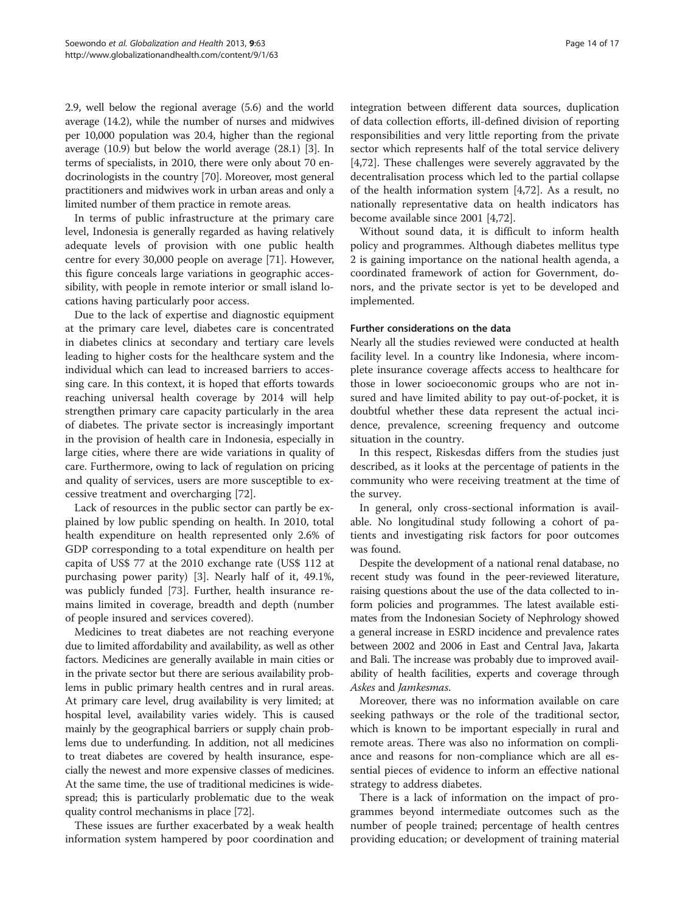2.9, well below the regional average (5.6) and the world average (14.2), while the number of nurses and midwives per 10,000 population was 20.4, higher than the regional average (10.9) but below the world average (28.1) [\[3](#page-15-0)]. In terms of specialists, in 2010, there were only about 70 endocrinologists in the country [\[70\]](#page-16-0). Moreover, most general practitioners and midwives work in urban areas and only a limited number of them practice in remote areas.

In terms of public infrastructure at the primary care level, Indonesia is generally regarded as having relatively adequate levels of provision with one public health centre for every 30,000 people on average [\[71](#page-16-0)]. However, this figure conceals large variations in geographic accessibility, with people in remote interior or small island locations having particularly poor access.

Due to the lack of expertise and diagnostic equipment at the primary care level, diabetes care is concentrated in diabetes clinics at secondary and tertiary care levels leading to higher costs for the healthcare system and the individual which can lead to increased barriers to accessing care. In this context, it is hoped that efforts towards reaching universal health coverage by 2014 will help strengthen primary care capacity particularly in the area of diabetes. The private sector is increasingly important in the provision of health care in Indonesia, especially in large cities, where there are wide variations in quality of care. Furthermore, owing to lack of regulation on pricing and quality of services, users are more susceptible to excessive treatment and overcharging [\[72](#page-16-0)].

Lack of resources in the public sector can partly be explained by low public spending on health. In 2010, total health expenditure on health represented only 2.6% of GDP corresponding to a total expenditure on health per capita of US\$ 77 at the 2010 exchange rate (US\$ 112 at purchasing power parity) [[3](#page-15-0)]. Nearly half of it, 49.1%, was publicly funded [\[73\]](#page-16-0). Further, health insurance remains limited in coverage, breadth and depth (number of people insured and services covered).

Medicines to treat diabetes are not reaching everyone due to limited affordability and availability, as well as other factors. Medicines are generally available in main cities or in the private sector but there are serious availability problems in public primary health centres and in rural areas. At primary care level, drug availability is very limited; at hospital level, availability varies widely. This is caused mainly by the geographical barriers or supply chain problems due to underfunding. In addition, not all medicines to treat diabetes are covered by health insurance, especially the newest and more expensive classes of medicines. At the same time, the use of traditional medicines is widespread; this is particularly problematic due to the weak quality control mechanisms in place [\[72](#page-16-0)].

These issues are further exacerbated by a weak health information system hampered by poor coordination and integration between different data sources, duplication of data collection efforts, ill-defined division of reporting responsibilities and very little reporting from the private sector which represents half of the total service delivery [[4,](#page-15-0)[72\]](#page-16-0). These challenges were severely aggravated by the decentralisation process which led to the partial collapse of the health information system [[4,](#page-15-0)[72\]](#page-16-0). As a result, no nationally representative data on health indicators has become available since 2001 [\[4](#page-15-0)[,72](#page-16-0)].

Without sound data, it is difficult to inform health policy and programmes. Although diabetes mellitus type 2 is gaining importance on the national health agenda, a coordinated framework of action for Government, donors, and the private sector is yet to be developed and implemented.

#### Further considerations on the data

Nearly all the studies reviewed were conducted at health facility level. In a country like Indonesia, where incomplete insurance coverage affects access to healthcare for those in lower socioeconomic groups who are not insured and have limited ability to pay out-of-pocket, it is doubtful whether these data represent the actual incidence, prevalence, screening frequency and outcome situation in the country.

In this respect, Riskesdas differs from the studies just described, as it looks at the percentage of patients in the community who were receiving treatment at the time of the survey.

In general, only cross-sectional information is available. No longitudinal study following a cohort of patients and investigating risk factors for poor outcomes was found.

Despite the development of a national renal database, no recent study was found in the peer-reviewed literature, raising questions about the use of the data collected to inform policies and programmes. The latest available estimates from the Indonesian Society of Nephrology showed a general increase in ESRD incidence and prevalence rates between 2002 and 2006 in East and Central Java, Jakarta and Bali. The increase was probably due to improved availability of health facilities, experts and coverage through Askes and Jamkesmas.

Moreover, there was no information available on care seeking pathways or the role of the traditional sector, which is known to be important especially in rural and remote areas. There was also no information on compliance and reasons for non-compliance which are all essential pieces of evidence to inform an effective national strategy to address diabetes.

There is a lack of information on the impact of programmes beyond intermediate outcomes such as the number of people trained; percentage of health centres providing education; or development of training material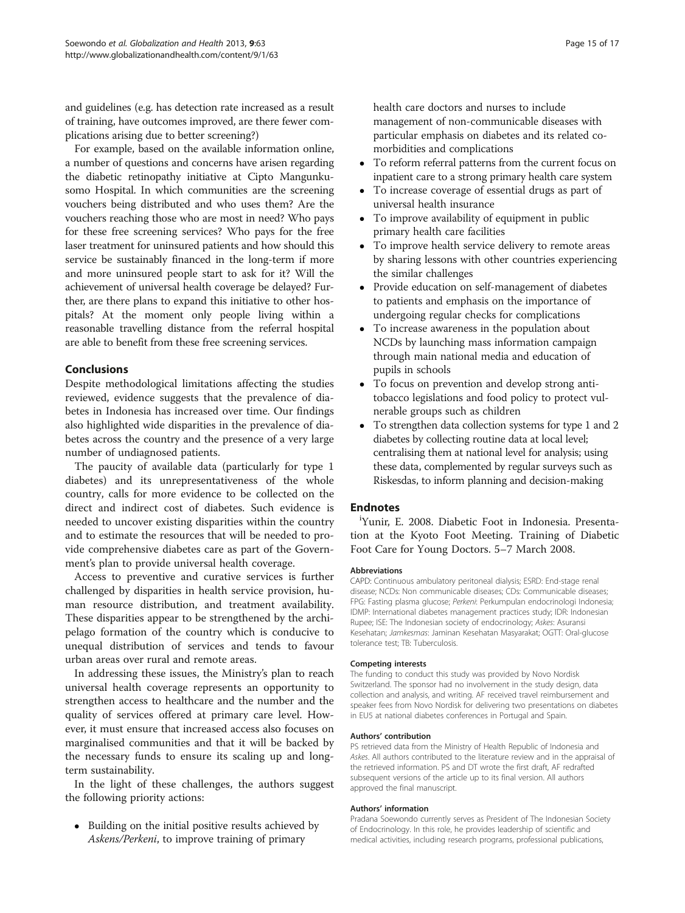and guidelines (e.g. has detection rate increased as a result of training, have outcomes improved, are there fewer complications arising due to better screening?)

For example, based on the available information online, a number of questions and concerns have arisen regarding the diabetic retinopathy initiative at Cipto Mangunkusomo Hospital. In which communities are the screening vouchers being distributed and who uses them? Are the vouchers reaching those who are most in need? Who pays for these free screening services? Who pays for the free laser treatment for uninsured patients and how should this service be sustainably financed in the long-term if more and more uninsured people start to ask for it? Will the achievement of universal health coverage be delayed? Further, are there plans to expand this initiative to other hospitals? At the moment only people living within a reasonable travelling distance from the referral hospital are able to benefit from these free screening services.

## Conclusions

Despite methodological limitations affecting the studies reviewed, evidence suggests that the prevalence of diabetes in Indonesia has increased over time. Our findings also highlighted wide disparities in the prevalence of diabetes across the country and the presence of a very large number of undiagnosed patients.

The paucity of available data (particularly for type 1 diabetes) and its unrepresentativeness of the whole country, calls for more evidence to be collected on the direct and indirect cost of diabetes. Such evidence is needed to uncover existing disparities within the country and to estimate the resources that will be needed to provide comprehensive diabetes care as part of the Government's plan to provide universal health coverage.

Access to preventive and curative services is further challenged by disparities in health service provision, human resource distribution, and treatment availability. These disparities appear to be strengthened by the archipelago formation of the country which is conducive to unequal distribution of services and tends to favour urban areas over rural and remote areas.

In addressing these issues, the Ministry's plan to reach universal health coverage represents an opportunity to strengthen access to healthcare and the number and the quality of services offered at primary care level. However, it must ensure that increased access also focuses on marginalised communities and that it will be backed by the necessary funds to ensure its scaling up and longterm sustainability.

In the light of these challenges, the authors suggest the following priority actions:

• Building on the initial positive results achieved by Askens/Perkeni, to improve training of primary

health care doctors and nurses to include management of non-communicable diseases with particular emphasis on diabetes and its related comorbidities and complications

- To reform referral patterns from the current focus on inpatient care to a strong primary health care system
- To increase coverage of essential drugs as part of universal health insurance
- To improve availability of equipment in public primary health care facilities
- To improve health service delivery to remote areas by sharing lessons with other countries experiencing the similar challenges
- Provide education on self-management of diabetes to patients and emphasis on the importance of undergoing regular checks for complications
- To increase awareness in the population about NCDs by launching mass information campaign through main national media and education of pupils in schools
- To focus on prevention and develop strong antitobacco legislations and food policy to protect vulnerable groups such as children
- To strengthen data collection systems for type 1 and 2 diabetes by collecting routine data at local level; centralising them at national level for analysis; using these data, complemented by regular surveys such as Riskesdas, to inform planning and decision-making

## **Endnotes**

Yunir, E. 2008. Diabetic Foot in Indonesia. Presentation at the Kyoto Foot Meeting. Training of Diabetic Foot Care for Young Doctors. 5–7 March 2008.

### **Abbreviations**

CAPD: Continuous ambulatory peritoneal dialysis; ESRD: End-stage renal disease; NCDs: Non communicable diseases; CDs: Communicable diseases; FPG: Fasting plasma glucose; Perkeni: Perkumpulan endocrinologi Indonesia; IDMP: International diabetes management practices study; IDR: Indonesian Rupee; ISE: The Indonesian society of endocrinology; Askes: Asuransi Kesehatan; Jamkesmas: Jaminan Kesehatan Masyarakat; OGTT: Oral-glucose tolerance test; TB: Tuberculosis.

#### Competing interests

The funding to conduct this study was provided by Novo Nordisk Switzerland. The sponsor had no involvement in the study design, data collection and analysis, and writing. AF received travel reimbursement and speaker fees from Novo Nordisk for delivering two presentations on diabetes in EU5 at national diabetes conferences in Portugal and Spain.

#### Authors' contribution

PS retrieved data from the Ministry of Health Republic of Indonesia and Askes. All authors contributed to the literature review and in the appraisal of the retrieved information. PS and DT wrote the first draft, AF redrafted subsequent versions of the article up to its final version. All authors approved the final manuscript.

#### Authors' information

Pradana Soewondo currently serves as President of The Indonesian Society of Endocrinology. In this role, he provides leadership of scientific and medical activities, including research programs, professional publications,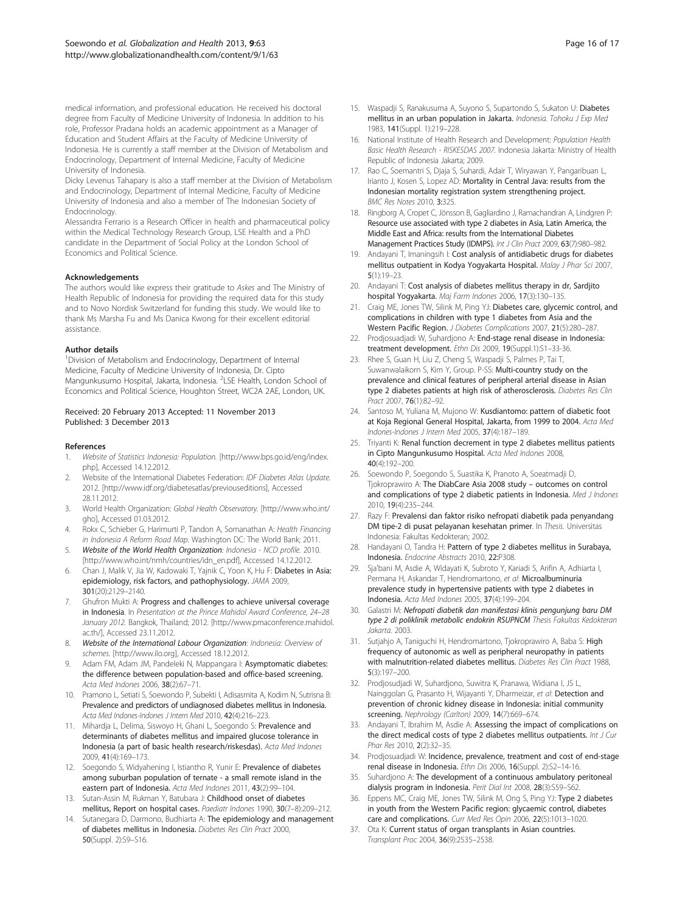<span id="page-15-0"></span>medical information, and professional education. He received his doctoral degree from Faculty of Medicine University of Indonesia. In addition to his role, Professor Pradana holds an academic appointment as a Manager of Education and Student Affairs at the Faculty of Medicine University of Indonesia. He is currently a staff member at the Division of Metabolism and Endocrinology, Department of Internal Medicine, Faculty of Medicine University of Indonesia.

Dicky Levenus Tahapary is also a staff member at the Division of Metabolism and Endocrinology, Department of Internal Medicine, Faculty of Medicine University of Indonesia and also a member of The Indonesian Society of Endocrinology.

Alessandra Ferrario is a Research Officer in health and pharmaceutical policy within the Medical Technology Research Group, LSE Health and a PhD candidate in the Department of Social Policy at the London School of Economics and Political Science.

#### Acknowledgements

The authors would like express their gratitude to Askes and The Ministry of Health Republic of Indonesia for providing the required data for this study and to Novo Nordisk Switzerland for funding this study. We would like to thank Ms Marsha Fu and Ms Danica Kwong for their excellent editorial assistance.

#### Author details

<sup>1</sup> Division of Metabolism and Endocrinology, Department of Internal Medicine, Faculty of Medicine University of Indonesia, Dr. Cipto Mangunkusumo Hospital, Jakarta, Indonesia. <sup>2</sup>LSE Health, London School of Economics and Political Science, Houghton Street, WC2A 2AE, London, UK.

#### Received: 20 February 2013 Accepted: 11 November 2013 Published: 3 December 2013

#### References

- 1. Website of Statistics Indonesia: Population. [[http://www.bps.go.id/eng/index.](http://www.bps.go.id/eng/index.php) [php](http://www.bps.go.id/eng/index.php)], Accessed 14.12.2012.
- 2. Website of the International Diabetes Federation: IDF Diabetes Atlas Update. 2012. [<http://www.idf.org/diabetesatlas/previouseditions>], Accessed 28.11.2012.
- 3. World Health Organization: Global Health Observatory. [[http://www.who.int/](http://www.who.int/gho) [gho](http://www.who.int/gho)], Accessed 01.03.2012.
- Rokx C, Schieber G, Harimurti P, Tandon A, Somanathan A: Health Financing in Indonesia A Reform Road Map. Washington DC: The World Bank; 2011.
- 5. Website of the World Health Organization: Indonesia NCD profile. 2010. [[http://www.who.int/nmh/countries/idn\\_en.pdf\]](http://www.who.int/nmh/countries/idn_en.pdf), Accessed 14.12.2012.
- 6. Chan J, Malik V, Jia W, Kadowaki T, Yajnik C, Yoon K, Hu F: Diabetes in Asia: epidemiology, risk factors, and pathophysiology. JAMA 2009, 301(20):2129–2140.
- Ghufron Mukti A: Progress and challenges to achieve universal coverage in Indonesia. In Presentation at the Prince Mahidol Award Conference, 24–28 January 2012. Bangkok, Thailand; 2012. [\[http://www.pmaconference.mahidol.](http://www.pmaconference.mahidol.ac.th/) [ac.th/\]](http://www.pmaconference.mahidol.ac.th/), Accessed 23.11.2012.
- 8. Website of the International Labour Organization: Indonesia: Overview of schemes. [<http://www.ilo.org>], Accessed 18.12.2012.
- 9. Adam FM, Adam JM, Pandeleki N, Mappangara I: Asymptomatic diabetes: the difference between population-based and office-based screening. Acta Med Indones 2006, 38(2):67–71.
- 10. Pramono L, Setiati S, Soewondo P, Subekti I, Adisasmita A, Kodim N, Sutrisna B: Prevalence and predictors of undiagnosed diabetes mellitus in Indonesia. Acta Med Indones-Indones J Intern Med 2010, 42(4):216–223.
- 11. Mihardja L, Delima, Siswoyo H, Ghani L, Soegondo S: Prevalence and determinants of diabetes mellitus and impaired glucose tolerance in Indonesia (a part of basic health research/riskesdas). Acta Med Indones 2009, 41(4):169–173.
- 12. Soegondo S, Widyahening I, Istiantho R, Yunir E: Prevalence of diabetes among suburban population of ternate - a small remote island in the eastern part of Indonesia. Acta Med Indones 2011, 43(2):99–104.
- 13. Sutan-Assin M, Rukman Y, Batubara J: Childhood onset of diabetes mellitus, Report on hospital cases. Paediatr Indones 1990, 30(7–8):209–212.
- 14. Sutanegara D, Darmono, Budhiarta A: The epidemiology and management of diabetes mellitus in Indonesia. Diabetes Res Clin Pract 2000, 50(Suppl. 2):S9–S16.
- 15. Waspadji S, Ranakusuma A, Suyono S, Supartondo S, Sukaton U: Diabetes mellitus in an urban population in Jakarta. Indonesia. Tohoku J Exp Med 1983, 141(Suppl. 1):219–228.
- 16. National Institute of Health Research and Development: Population Health Basic Health Research - RISKESDAS 2007. Indonesia Jakarta: Ministry of Health Republic of Indonesia Jakarta; 2009.
- 17. Rao C, Soemantri S, Djaja S, Suhardi, Adair T, Wiryawan Y, Pangaribuan L, Irianto J, Kosen S, Lopez AD: Mortality in Central Java: results from the Indonesian mortality registration system strengthening project. BMC Res Notes 2010, 3:325.
- 18. Ringborg A, Cropet C, Jönsson B, Gagliardino J, Ramachandran A, Lindgren P: Resource use associated with type 2 diabetes in Asia, Latin America, the Middle East and Africa: results from the International Diabetes Management Practices Study (IDMPS). Int J Clin Pract 2009, 63(7):980–982.
- 19. Andayani T, Imaningsih I: Cost analysis of antidiabetic drugs for diabetes mellitus outpatient in Kodya Yogyakarta Hospital. Malay J Phar Sci 2007, 5(1):19–23.
- 20. Andayani T: Cost analysis of diabetes mellitus therapy in dr, Sardjito hospital Yogyakarta. Maj Farm Indones 2006, 17(3):130–135.
- 21. Craig ME, Jones TW, Silink M, Ping YJ: Diabetes care, glycemic control, and complications in children with type 1 diabetes from Asia and the Western Pacific Region. J Diabetes Complications 2007, 21(5):280–287.
- 22. Prodjosuadjadi W, Suhardjono A: End-stage renal disease in Indonesia: treatment development. Ethn Dis 2009, 19(Suppl.1):S1–33-36.
- 23. Rhee S, Guan H, Liu Z, Cheng S, Waspadji S, Palmes P, Tai T, Suwanwalaikorn S, Kim Y, Group. P-SS: Multi-country study on the prevalence and clinical features of peripheral arterial disease in Asian type 2 diabetes patients at high risk of atherosclerosis. Diabetes Res Clin Pract 2007, 76(1):82–92.
- 24. Santoso M, Yuliana M, Mujono W: Kusdiantomo: pattern of diabetic foot at Koja Regional General Hospital, Jakarta, from 1999 to 2004. Acta Med Indones-Indones J Intern Med 2005, 37(4):187–189.
- 25. Triyanti K: Renal function decrement in type 2 diabetes mellitus patients in Cipto Mangunkusumo Hospital. Acta Med Indones 2008, 40(4):192–200.
- 26. Soewondo P, Soegondo S, Suastika K, Pranoto A, Soeatmadji D, Tjokroprawiro A: The DiabCare Asia 2008 study – outcomes on control and complications of type 2 diabetic patients in Indonesia. Med J Indones 2010, 19(4):235–244.
- 27. Razy F: Prevalensi dan faktor risiko nefropati diabetik pada penyandang DM tipe-2 di pusat pelayanan kesehatan primer. In Thesis. Universitas Indonesia: Fakultas Kedokteran; 2002.
- 28. Handayani O, Tandra H: Pattern of type 2 diabetes mellitus in Surabaya, Indonesia. Endocrine Abstracts 2010, 22:P308.
- 29. Sja'bani M, Asdie A, Widayati K, Subroto Y, Kariadi S, Arifin A, Adhiarta I, Permana H, Askandar T, Hendromartono, et al: Microalbuminuria prevalence study in hypertensive patients with type 2 diabetes in Indonesia. Acta Med Indones 2005, 37(4):199–204.
- 30. Galastri M: Nefropati diabetik dan manifestasi klinis pengunjung baru DM type 2 di poliklinik metabolic endokrin RSUPNCM Thesis Fakultas Kedokteran Jakarta. 2003.
- 31. Sutjahjo A, Taniguchi H, Hendromartono, Tjokroprawiro A, Baba S: High frequency of autonomic as well as peripheral neuropathy in patients with malnutrition-related diabetes mellitus. Diabetes Res Clin Pract 1988, 5(3):197–200.
- 32. Prodjosudjadi W, Suhardjono, Suwitra K, Pranawa, Widiana I, JS L, Nainggolan G, Prasanto H, Wijayanti Y, Dharmeizar, et al: Detection and prevention of chronic kidney disease in Indonesia: initial community screening. Nephrology (Carlton) 2009, 14(7):669–674.
- 33. Andayani T, Ibrahim M, Asdie A: Assessing the impact of complications on the direct medical costs of type 2 diabetes mellitus outpatients. Int J Cur Phar Res 2010, 2(2):32–35.
- 34. Prodjosuadjadi W: Incidence, prevalence, treatment and cost of end-stage renal disease in Indonesia. Ethn Dis 2006, 16(Suppl. 2):S2–14-16.
- 35. Suhardjono A: The development of a continuous ambulatory peritoneal dialysis program in Indonesia. Perit Dial Int 2008, 28(3):S59–S62.
- 36. Eppens MC, Craig ME, Jones TW, Silink M, Ong S, Ping YJ: Type 2 diabetes in youth from the Western Pacific region: glycaemic control, diabetes care and complications. Curr Med Res Opin 2006, 22(5):1013–1020.
- 37. Ota K: Current status of organ transplants in Asian countries. Transplant Proc 2004, 36(9):2535–2538.